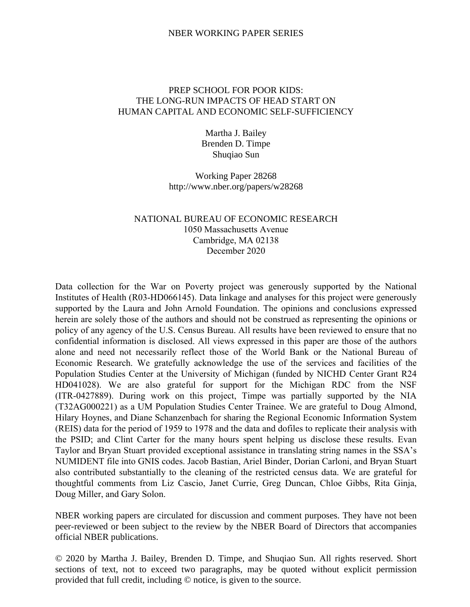# NBER WORKING PAPER SERIES

# PREP SCHOOL FOR POOR KIDS: THE LONG-RUN IMPACTS OF HEAD START ON HUMAN CAPITAL AND ECONOMIC SELF-SUFFICIENCY

Martha J. Bailey Brenden D. Timpe Shuqiao Sun

Working Paper 28268 http://www.nber.org/papers/w28268

# NATIONAL BUREAU OF ECONOMIC RESEARCH 1050 Massachusetts Avenue Cambridge, MA 02138 December 2020

Data collection for the War on Poverty project was generously supported by the National Institutes of Health (R03-HD066145). Data linkage and analyses for this project were generously supported by the Laura and John Arnold Foundation. The opinions and conclusions expressed herein are solely those of the authors and should not be construed as representing the opinions or policy of any agency of the U.S. Census Bureau. All results have been reviewed to ensure that no confidential information is disclosed. All views expressed in this paper are those of the authors alone and need not necessarily reflect those of the World Bank or the National Bureau of Economic Research. We gratefully acknowledge the use of the services and facilities of the Population Studies Center at the University of Michigan (funded by NICHD Center Grant R24 HD041028). We are also grateful for support for the Michigan RDC from the NSF (ITR-0427889). During work on this project, Timpe was partially supported by the NIA (T32AG000221) as a UM Population Studies Center Trainee. We are grateful to Doug Almond, Hilary Hoynes, and Diane Schanzenbach for sharing the Regional Economic Information System (REIS) data for the period of 1959 to 1978 and the data and dofiles to replicate their analysis with the PSID; and Clint Carter for the many hours spent helping us disclose these results. Evan Taylor and Bryan Stuart provided exceptional assistance in translating string names in the SSA's NUMIDENT file into GNIS codes. Jacob Bastian, Ariel Binder, Dorian Carloni, and Bryan Stuart also contributed substantially to the cleaning of the restricted census data. We are grateful for thoughtful comments from Liz Cascio, Janet Currie, Greg Duncan, Chloe Gibbs, Rita Ginja, Doug Miller, and Gary Solon.

NBER working papers are circulated for discussion and comment purposes. They have not been peer-reviewed or been subject to the review by the NBER Board of Directors that accompanies official NBER publications.

© 2020 by Martha J. Bailey, Brenden D. Timpe, and Shuqiao Sun. All rights reserved. Short sections of text, not to exceed two paragraphs, may be quoted without explicit permission provided that full credit, including © notice, is given to the source.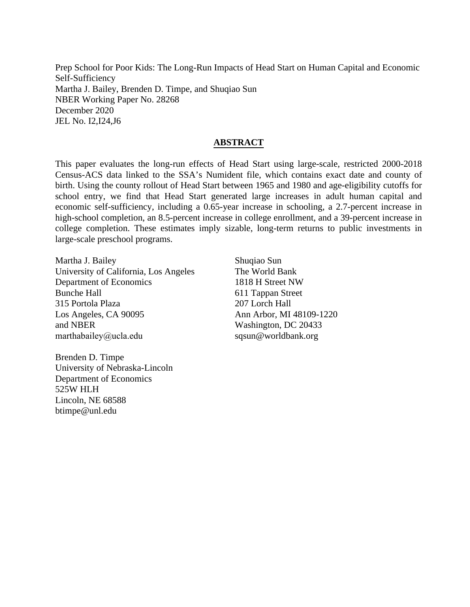Prep School for Poor Kids: The Long-Run Impacts of Head Start on Human Capital and Economic Self-Sufficiency Martha J. Bailey, Brenden D. Timpe, and Shuqiao Sun NBER Working Paper No. 28268 December 2020 JEL No. I2,I24,J6

# **ABSTRACT**

This paper evaluates the long-run effects of Head Start using large-scale, restricted 2000-2018 Census-ACS data linked to the SSA's Numident file, which contains exact date and county of birth. Using the county rollout of Head Start between 1965 and 1980 and age-eligibility cutoffs for school entry, we find that Head Start generated large increases in adult human capital and economic self-sufficiency, including a 0.65-year increase in schooling, a 2.7-percent increase in high-school completion, an 8.5-percent increase in college enrollment, and a 39-percent increase in college completion. These estimates imply sizable, long-term returns to public investments in large-scale preschool programs.

Martha J. Bailey University of California, Los Angeles Department of Economics Bunche Hall 315 Portola Plaza Los Angeles, CA 90095 and NBER marthabailey@ucla.edu

Brenden D. Timpe University of Nebraska-Lincoln Department of Economics 525W HLH Lincoln, NE 68588 btimpe@unl.edu

Shuqiao Sun The World Bank 1818 H Street NW 611 Tappan Street 207 Lorch Hall Ann Arbor, MI 48109-1220 Washington, DC 20433 sqsun@worldbank.org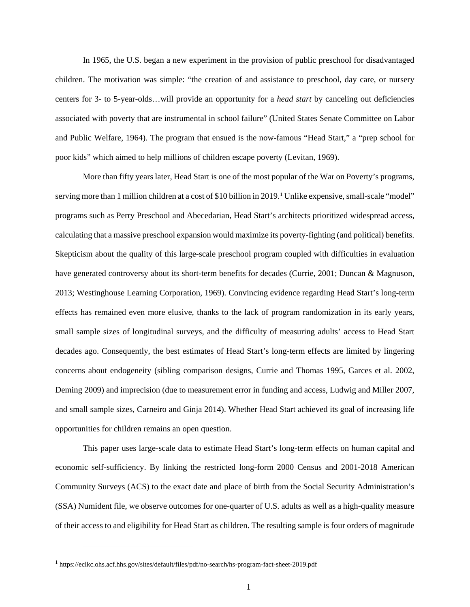In 1965, the U.S. began a new experiment in the provision of public preschool for disadvantaged children. The motivation was simple: "the creation of and assistance to preschool, day care, or nursery centers for 3- to 5-year-olds…will provide an opportunity for a *head start* by canceling out deficiencies associated with poverty that are instrumental in school failure" (United States Senate Committee on Labor and Public Welfare, 1964). The program that ensued is the now-famous "Head Start," a "prep school for poor kids" which aimed to help millions of children escape poverty (Levitan, 1969).

More than fifty years later, Head Start is one of the most popular of the War on Poverty's programs, serving more than [1](#page-2-0) million children at a cost of \$10 billion in 2019.<sup>1</sup> Unlike expensive, small-scale "model" programs such as Perry Preschool and Abecedarian, Head Start's architects prioritized widespread access, calculating that a massive preschool expansion would maximize its poverty-fighting (and political) benefits. Skepticism about the quality of this large-scale preschool program coupled with difficulties in evaluation have generated controversy about its short-term benefits for decades (Currie, 2001; Duncan & Magnuson, 2013; Westinghouse Learning Corporation, 1969). Convincing evidence regarding Head Start's long-term effects has remained even more elusive, thanks to the lack of program randomization in its early years, small sample sizes of longitudinal surveys, and the difficulty of measuring adults' access to Head Start decades ago. Consequently, the best estimates of Head Start's long-term effects are limited by lingering concerns about endogeneity (sibling comparison designs, Currie and Thomas 1995, Garces et al. 2002, Deming 2009) and imprecision (due to measurement error in funding and access, Ludwig and Miller 2007, and small sample sizes, Carneiro and Ginja 2014). Whether Head Start achieved its goal of increasing life opportunities for children remains an open question.

This paper uses large-scale data to estimate Head Start's long-term effects on human capital and economic self-sufficiency. By linking the restricted long-form 2000 Census and 2001-2018 American Community Surveys (ACS) to the exact date and place of birth from the Social Security Administration's (SSA) Numident file, we observe outcomes for one-quarter of U.S. adults as well as a high-quality measure of their access to and eligibility for Head Start as children. The resulting sample is four orders of magnitude

<span id="page-2-0"></span><sup>1</sup> https://eclkc.ohs.acf.hhs.gov/sites/default/files/pdf/no-search/hs-program-fact-sheet-2019.pdf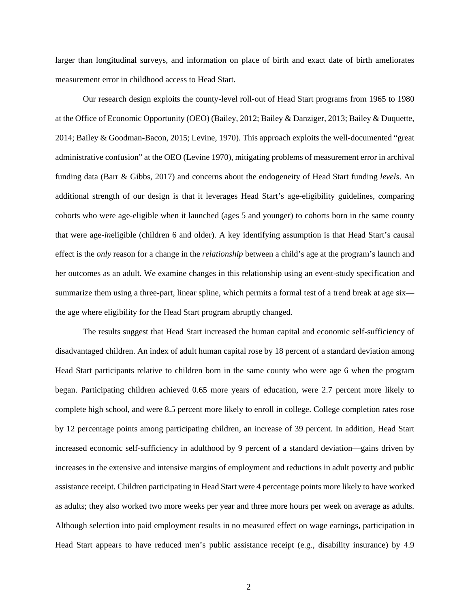larger than longitudinal surveys, and information on place of birth and exact date of birth ameliorates measurement error in childhood access to Head Start.

Our research design exploits the county-level roll-out of Head Start programs from 1965 to 1980 at the Office of Economic Opportunity (OEO) (Bailey, 2012; Bailey & Danziger, 2013; Bailey & Duquette, 2014; Bailey & Goodman-Bacon, 2015; Levine, 1970). This approach exploits the well-documented "great administrative confusion" at the OEO (Levine 1970), mitigating problems of measurement error in archival funding data (Barr & Gibbs, 2017) and concerns about the endogeneity of Head Start funding *levels*. An additional strength of our design is that it leverages Head Start's age-eligibility guidelines, comparing cohorts who were age-eligible when it launched (ages 5 and younger) to cohorts born in the same county that were age-*in*eligible (children 6 and older). A key identifying assumption is that Head Start's causal effect is the *only* reason for a change in the *relationship* between a child's age at the program's launch and her outcomes as an adult. We examine changes in this relationship using an event-study specification and summarize them using a three-part, linear spline, which permits a formal test of a trend break at age six the age where eligibility for the Head Start program abruptly changed.

The results suggest that Head Start increased the human capital and economic self-sufficiency of disadvantaged children. An index of adult human capital rose by 18 percent of a standard deviation among Head Start participants relative to children born in the same county who were age 6 when the program began. Participating children achieved 0.65 more years of education, were 2.7 percent more likely to complete high school, and were 8.5 percent more likely to enroll in college. College completion rates rose by 12 percentage points among participating children, an increase of 39 percent. In addition, Head Start increased economic self-sufficiency in adulthood by 9 percent of a standard deviation—gains driven by increases in the extensive and intensive margins of employment and reductions in adult poverty and public assistance receipt. Children participating in Head Start were 4 percentage points more likely to have worked as adults; they also worked two more weeks per year and three more hours per week on average as adults. Although selection into paid employment results in no measured effect on wage earnings, participation in Head Start appears to have reduced men's public assistance receipt (e.g., disability insurance) by 4.9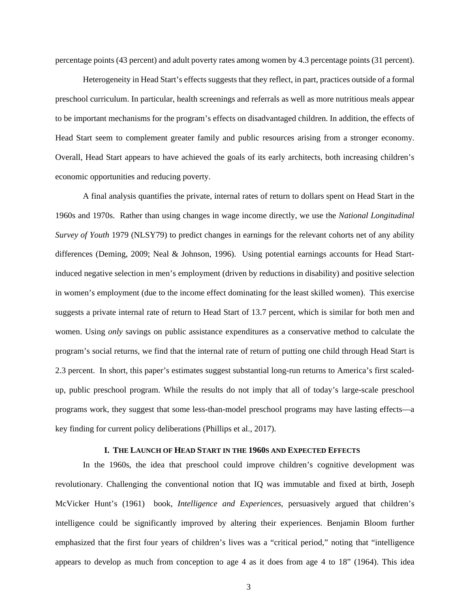percentage points (43 percent) and adult poverty rates among women by 4.3 percentage points (31 percent).

Heterogeneity in Head Start's effects suggests that they reflect, in part, practices outside of a formal preschool curriculum. In particular, health screenings and referrals as well as more nutritious meals appear to be important mechanisms for the program's effects on disadvantaged children. In addition, the effects of Head Start seem to complement greater family and public resources arising from a stronger economy. Overall, Head Start appears to have achieved the goals of its early architects, both increasing children's economic opportunities and reducing poverty.

A final analysis quantifies the private, internal rates of return to dollars spent on Head Start in the 1960s and 1970s. Rather than using changes in wage income directly, we use the *National Longitudinal Survey of Youth* 1979 (NLSY79) to predict changes in earnings for the relevant cohorts net of any ability differences (Deming, 2009; Neal & Johnson, 1996). Using potential earnings accounts for Head Startinduced negative selection in men's employment (driven by reductions in disability) and positive selection in women's employment (due to the income effect dominating for the least skilled women). This exercise suggests a private internal rate of return to Head Start of 13.7 percent, which is similar for both men and women. Using *only* savings on public assistance expenditures as a conservative method to calculate the program's social returns, we find that the internal rate of return of putting one child through Head Start is 2.3 percent. In short, this paper's estimates suggest substantial long-run returns to America's first scaledup, public preschool program. While the results do not imply that all of today's large-scale preschool programs work, they suggest that some less-than-model preschool programs may have lasting effects—a key finding for current policy deliberations (Phillips et al., 2017).

### **I. THE LAUNCH OF HEAD START IN THE 1960S AND EXPECTED EFFECTS**

In the 1960s, the idea that preschool could improve children's cognitive development was revolutionary. Challenging the conventional notion that IQ was immutable and fixed at birth, Joseph McVicker Hunt's (1961) book, *Intelligence and Experiences*, persuasively argued that children's intelligence could be significantly improved by altering their experiences. Benjamin Bloom further emphasized that the first four years of children's lives was a "critical period," noting that "intelligence appears to develop as much from conception to age 4 as it does from age 4 to 18" (1964). This idea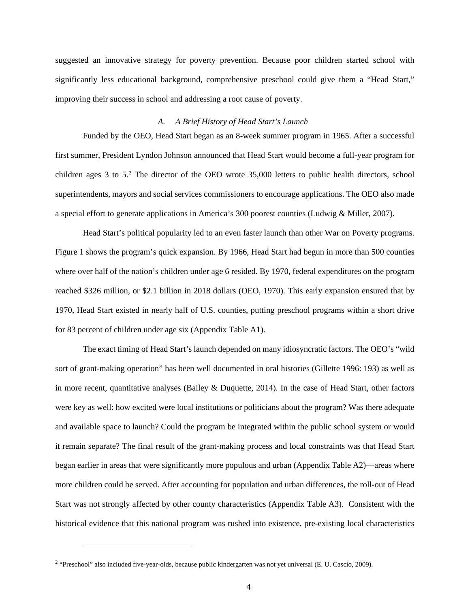suggested an innovative strategy for poverty prevention. Because poor children started school with significantly less educational background, comprehensive preschool could give them a "Head Start," improving their success in school and addressing a root cause of poverty.

#### *A. A Brief History of Head Start's Launch*

Funded by the OEO, Head Start began as an 8-week summer program in 1965. After a successful first summer, President Lyndon Johnson announced that Head Start would become a full-year program for children ages 3 to 5. [2](#page-5-0) The director of the OEO wrote 35,000 letters to public health directors, school superintendents, mayors and social services commissioners to encourage applications. The OEO also made a special effort to generate applications in America's 300 poorest counties (Ludwig & Miller, 2007).

Head Start's political popularity led to an even faster launch than other War on Poverty programs. Figure 1 shows the program's quick expansion. By 1966, Head Start had begun in more than 500 counties where over half of the nation's children under age 6 resided. By 1970, federal expenditures on the program reached \$326 million, or \$2.1 billion in 2018 dollars (OEO, 1970). This early expansion ensured that by 1970, Head Start existed in nearly half of U.S. counties, putting preschool programs within a short drive for 83 percent of children under age six (Appendix Table A1).

The exact timing of Head Start's launch depended on many idiosyncratic factors. The OEO's "wild sort of grant-making operation" has been well documented in oral histories (Gillette 1996: 193) as well as in more recent, quantitative analyses (Bailey & Duquette, 2014). In the case of Head Start, other factors were key as well: how excited were local institutions or politicians about the program? Was there adequate and available space to launch? Could the program be integrated within the public school system or would it remain separate? The final result of the grant-making process and local constraints was that Head Start began earlier in areas that were significantly more populous and urban (Appendix Table A2)—areas where more children could be served. After accounting for population and urban differences, the roll-out of Head Start was not strongly affected by other county characteristics (Appendix Table A3). Consistent with the historical evidence that this national program was rushed into existence, pre-existing local characteristics

<span id="page-5-0"></span><sup>2</sup> "Preschool" also included five-year-olds, because public kindergarten was not yet universal (E. U. Cascio, 2009).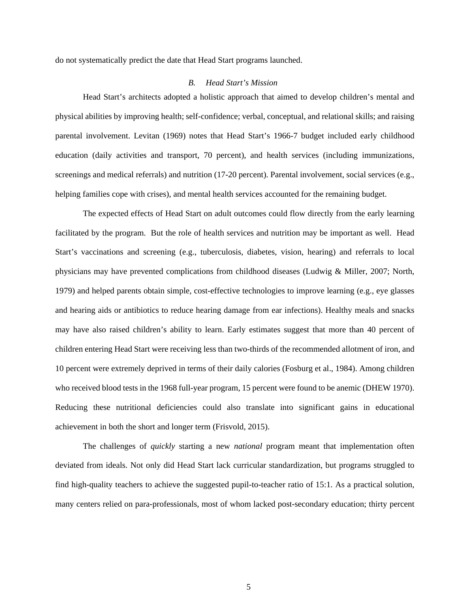do not systematically predict the date that Head Start programs launched.

#### *B. Head Start's Mission*

Head Start's architects adopted a holistic approach that aimed to develop children's mental and physical abilities by improving health; self-confidence; verbal, conceptual, and relational skills; and raising parental involvement. Levitan (1969) notes that Head Start's 1966-7 budget included early childhood education (daily activities and transport, 70 percent), and health services (including immunizations, screenings and medical referrals) and nutrition (17-20 percent). Parental involvement, social services (e.g., helping families cope with crises), and mental health services accounted for the remaining budget.

The expected effects of Head Start on adult outcomes could flow directly from the early learning facilitated by the program. But the role of health services and nutrition may be important as well. Head Start's vaccinations and screening (e.g., tuberculosis, diabetes, vision, hearing) and referrals to local physicians may have prevented complications from childhood diseases (Ludwig & Miller, 2007; North, 1979) and helped parents obtain simple, cost-effective technologies to improve learning (e.g., eye glasses and hearing aids or antibiotics to reduce hearing damage from ear infections). Healthy meals and snacks may have also raised children's ability to learn. Early estimates suggest that more than 40 percent of children entering Head Start were receiving less than two-thirds of the recommended allotment of iron, and 10 percent were extremely deprived in terms of their daily calories (Fosburg et al., 1984). Among children who received blood tests in the 1968 full-year program, 15 percent were found to be anemic (DHEW 1970). Reducing these nutritional deficiencies could also translate into significant gains in educational achievement in both the short and longer term (Frisvold, 2015).

The challenges of *quickly* starting a new *national* program meant that implementation often deviated from ideals. Not only did Head Start lack curricular standardization, but programs struggled to find high-quality teachers to achieve the suggested pupil-to-teacher ratio of 15:1. As a practical solution, many centers relied on para-professionals, most of whom lacked post-secondary education; thirty percent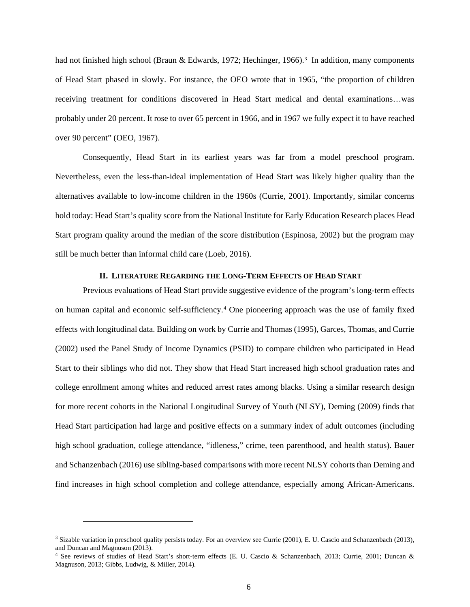had not finished high school (Braun & Edwards, 1972; Hechinger, 1966). [3](#page-7-0) In addition, many components of Head Start phased in slowly. For instance, the OEO wrote that in 1965, "the proportion of children receiving treatment for conditions discovered in Head Start medical and dental examinations…was probably under 20 percent. It rose to over 65 percent in 1966, and in 1967 we fully expect it to have reached over 90 percent" (OEO, 1967).

Consequently, Head Start in its earliest years was far from a model preschool program. Nevertheless, even the less-than-ideal implementation of Head Start was likely higher quality than the alternatives available to low-income children in the 1960s (Currie, 2001). Importantly, similar concerns hold today: Head Start's quality score from the National Institute for Early Education Research places Head Start program quality around the median of the score distribution (Espinosa, 2002) but the program may still be much better than informal child care (Loeb, 2016).

# **II. LITERATURE REGARDING THE LONG-TERM EFFECTS OF HEAD START**

Previous evaluations of Head Start provide suggestive evidence of the program's long-term effects on human capital and economic self-sufficiency.[4](#page-7-1) One pioneering approach was the use of family fixed effects with longitudinal data. Building on work by Currie and Thomas (1995), Garces, Thomas, and Currie (2002) used the Panel Study of Income Dynamics (PSID) to compare children who participated in Head Start to their siblings who did not. They show that Head Start increased high school graduation rates and college enrollment among whites and reduced arrest rates among blacks. Using a similar research design for more recent cohorts in the National Longitudinal Survey of Youth (NLSY), Deming (2009) finds that Head Start participation had large and positive effects on a summary index of adult outcomes (including high school graduation, college attendance, "idleness," crime, teen parenthood, and health status). Bauer and Schanzenbach (2016) use sibling-based comparisons with more recent NLSY cohorts than Deming and find increases in high school completion and college attendance, especially among African-Americans.

<span id="page-7-0"></span> $3$  Sizable variation in preschool quality persists today. For an overview see Currie (2001), E. U. Cascio and Schanzenbach (2013), and Duncan and Magnuson (2013).

<span id="page-7-1"></span><sup>&</sup>lt;sup>4</sup> See reviews of studies of Head Start's short-term effects (E. U. Cascio & Schanzenbach, 2013; Currie, 2001; Duncan & Magnuson, 2013; Gibbs, Ludwig, & Miller, 2014).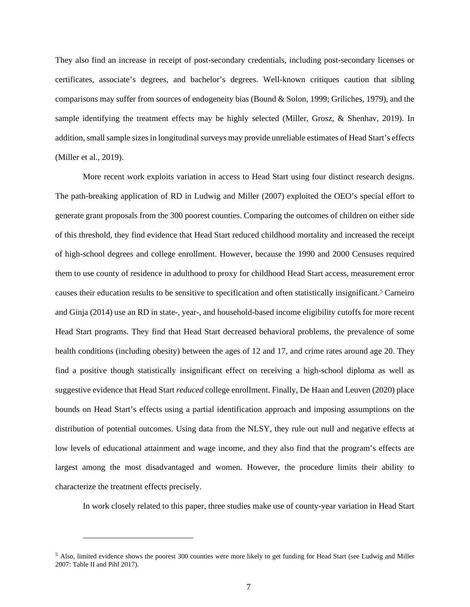They also find an increase in receipt of post-secondary credentials, including post-secondary licenses or certificates, associate's degrees, and bachelor's degrees. Well-known critiques caution that sibling comparisons may suffer from sources of endogeneity bias (Bound & Solon, 1999; Griliches, 1979), and the sample identifying the treatment effects may be highly selected (Miller, Grosz, & Shenhav, 2019). In addition, small sample sizes in longitudinal surveys may provide unreliable estimates of Head Start's effects (Miller et al., 2019).

More recent work exploits variation in access to Head Start using four distinct research designs. The path-breaking application of RD in Ludwig and Miller (2007) exploited the OEO's special effort to generate grant proposals from the 300 poorest counties. Comparing the outcomes of children on either side of this threshold, they find evidence that Head Start reduced childhood mortality and increased the receipt of high-school degrees and college enrollment. However, because the 1990 and 2000 Censuses required them to use county of residence in adulthood to proxy for childhood Head Start access, measurement error causes their education results to be sensitive to specification and often statistically insignificant.[5](#page-8-0) Carneiro and Ginja (2014) use an RD in state-, year-, and household-based income eligibility cutoffs for more recent Head Start programs. They find that Head Start decreased behavioral problems, the prevalence of some health conditions (including obesity) between the ages of 12 and 17, and crime rates around age 20. They find a positive though statistically insignificant effect on receiving a high-school diploma as well as suggestive evidence that Head Start *reduced* college enrollment. Finally, De Haan and Leuven (2020) place bounds on Head Start's effects using a partial identification approach and imposing assumptions on the distribution of potential outcomes. Using data from the NLSY, they rule out null and negative effects at low levels of educational attainment and wage income, and they also find that the program's effects are largest among the most disadvantaged and women. However, the procedure limits their ability to characterize the treatment effects precisely.

In work closely related to this paper, three studies make use of county-year variation in Head Start

<span id="page-8-0"></span><sup>&</sup>lt;sup>5</sup> Also, limited evidence shows the poorest 300 counties were more likely to get funding for Head Start (see Ludwig and Miller 2007: Table II and Pihl 2017).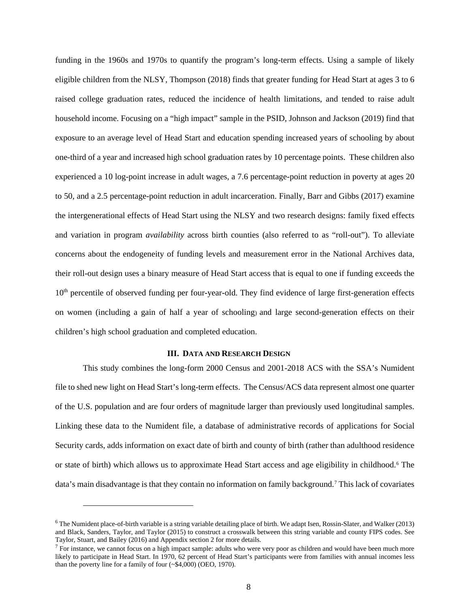funding in the 1960s and 1970s to quantify the program's long-term effects. Using a sample of likely eligible children from the NLSY, Thompson (2018) finds that greater funding for Head Start at ages 3 to 6 raised college graduation rates, reduced the incidence of health limitations, and tended to raise adult household income. Focusing on a "high impact" sample in the PSID, Johnson and Jackson (2019) find that exposure to an average level of Head Start and education spending increased years of schooling by about one-third of a year and increased high school graduation rates by 10 percentage points. These children also experienced a 10 log-point increase in adult wages, a 7.6 percentage-point reduction in poverty at ages 20 to 50, and a 2.5 percentage-point reduction in adult incarceration. Finally, Barr and Gibbs (2017) examine the intergenerational effects of Head Start using the NLSY and two research designs: family fixed effects and variation in program *availability* across birth counties (also referred to as "roll-out"). To alleviate concerns about the endogeneity of funding levels and measurement error in the National Archives data, their roll-out design uses a binary measure of Head Start access that is equal to one if funding exceeds the 10<sup>th</sup> percentile of observed funding per four-year-old. They find evidence of large first-generation effects on women (including a gain of half a year of schooling) and large second-generation effects on their children's high school graduation and completed education.

# **III. DATA AND RESEARCH DESIGN**

This study combines the long-form 2000 Census and 2001-2018 ACS with the SSA's Numident file to shed new light on Head Start's long-term effects. The Census/ACS data represent almost one quarter of the U.S. population and are four orders of magnitude larger than previously used longitudinal samples. Linking these data to the Numident file, a database of administrative records of applications for Social Security cards, adds information on exact date of birth and county of birth (rather than adulthood residence or state of birth) which allows us to approximate Head Start access and age eligibility in childhood[.6](#page-9-0) The data's main disadvantage is that they contain no information on family background. [7](#page-9-1) This lack of covariates

<span id="page-9-0"></span><sup>6</sup> The Numident place-of-birth variable is a string variable detailing place of birth. We adapt Isen, Rossin-Slater, and Walker (2013) and Black, Sanders, Taylor, and Taylor (2015) to construct a crosswalk between this string variable and county FIPS codes. See Taylor, Stuart, and Bailey (2016) and Appendix section 2 for more details.

<span id="page-9-1"></span> $<sup>7</sup>$  For instance, we cannot focus on a high impact sample: adults who were very poor as children and would have been much more</sup> likely to participate in Head Start. In 1970, 62 percent of Head Start's participants were from families with annual incomes less than the poverty line for a family of four (~\$4,000) (OEO, 1970).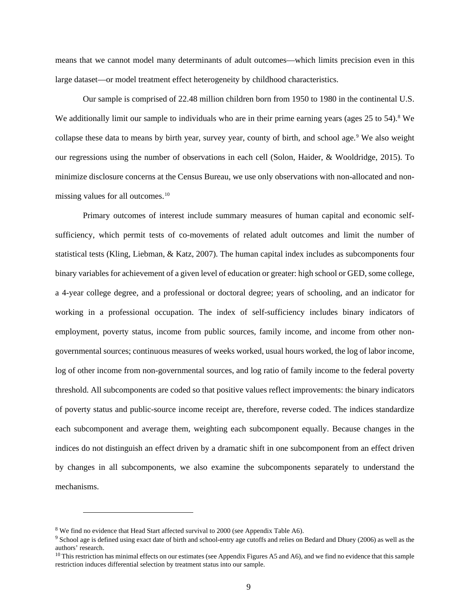means that we cannot model many determinants of adult outcomes—which limits precision even in this large dataset—or model treatment effect heterogeneity by childhood characteristics.

Our sample is comprised of 22.48 million children born from 1950 to 1980 in the continental U.S. We additionally limit our sample to individuals who are in their prime earning years (ages 25 to 54).<sup>[8](#page-10-0)</sup> We collapse these data to means by birth year, survey year, county of birth, and school age.[9](#page-10-1) We also weight our regressions using the number of observations in each cell (Solon, Haider, & Wooldridge, 2015). To minimize disclosure concerns at the Census Bureau, we use only observations with non-allocated and nonmissing values for all outcomes. [10](#page-10-2)

Primary outcomes of interest include summary measures of human capital and economic selfsufficiency, which permit tests of co-movements of related adult outcomes and limit the number of statistical tests (Kling, Liebman, & Katz, 2007). The human capital index includes as subcomponents four binary variables for achievement of a given level of education or greater: high school or GED, some college, a 4-year college degree, and a professional or doctoral degree; years of schooling, and an indicator for working in a professional occupation. The index of self-sufficiency includes binary indicators of employment, poverty status, income from public sources, family income, and income from other nongovernmental sources; continuous measures of weeks worked, usual hours worked, the log of labor income, log of other income from non-governmental sources, and log ratio of family income to the federal poverty threshold. All subcomponents are coded so that positive values reflect improvements: the binary indicators of poverty status and public-source income receipt are, therefore, reverse coded. The indices standardize each subcomponent and average them, weighting each subcomponent equally. Because changes in the indices do not distinguish an effect driven by a dramatic shift in one subcomponent from an effect driven by changes in all subcomponents, we also examine the subcomponents separately to understand the mechanisms.

<span id="page-10-1"></span><span id="page-10-0"></span><sup>&</sup>lt;sup>8</sup> We find no evidence that Head Start affected survival to 2000 (see Appendix Table A6).<br><sup>9</sup> School age is defined using exact date of birth and school-entry age cutoffs and relies on Bedard and Dhuey (2006) as well as t authors' research.<br><sup>10</sup> This restriction has minimal effects on our estimates (see Appendix Figures A5 and A6), and we find no evidence that this sample

<span id="page-10-2"></span>restriction induces differential selection by treatment status into our sample.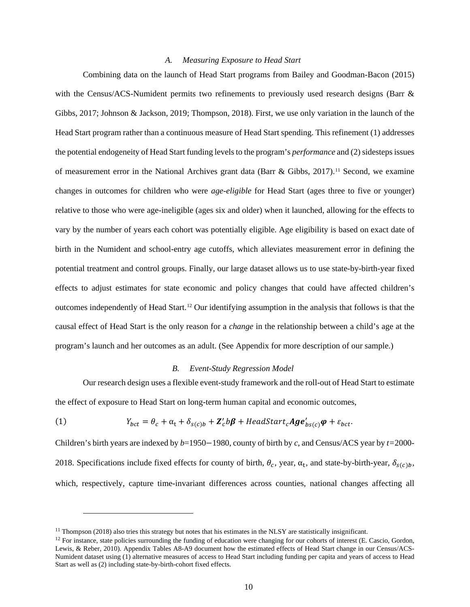#### *A. Measuring Exposure to Head Start*

Combining data on the launch of Head Start programs from Bailey and Goodman-Bacon (2015) with the Census/ACS-Numident permits two refinements to previously used research designs (Barr & Gibbs, 2017; Johnson & Jackson, 2019; Thompson, 2018). First, we use only variation in the launch of the Head Start program rather than a continuous measure of Head Start spending. This refinement (1) addresses the potential endogeneity of Head Start funding levels to the program's *performance* and (2) sidesteps issues of measurement error in the National Archives grant data (Barr & Gibbs, 2017). [11](#page-11-0) Second, we examine changes in outcomes for children who were *age-eligible* for Head Start (ages three to five or younger) relative to those who were age-ineligible (ages six and older) when it launched, allowing for the effects to vary by the number of years each cohort was potentially eligible. Age eligibility is based on exact date of birth in the Numident and school-entry age cutoffs, which alleviates measurement error in defining the potential treatment and control groups. Finally, our large dataset allows us to use state-by-birth-year fixed effects to adjust estimates for state economic and policy changes that could have affected children's outcomes independently of Head Start.[12](#page-11-1) Our identifying assumption in the analysis that follows is that the causal effect of Head Start is the only reason for a *change* in the relationship between a child's age at the program's launch and her outcomes as an adult. (See Appendix for more description of our sample.)

#### *B. Event-Study Regression Model*

Our research design uses a flexible event-study framework and the roll-out of Head Start to estimate the effect of exposure to Head Start on long-term human capital and economic outcomes,

(1) 
$$
Y_{bct} = \theta_c + \alpha_t + \delta_{s(c)b} + \mathbf{Z}_c'b\boldsymbol{\beta} + HeadStart_c \boldsymbol{Age}_{bs(c)}'\boldsymbol{\varphi} + \varepsilon_{bct}.
$$

Children's birth years are indexed by *b*=1950−1980, county of birth by *c*, and Census/ACS year by *t=*2000- 2018. Specifications include fixed effects for county of birth,  $\theta_c$ , year,  $\alpha_t$ , and state-by-birth-year,  $\delta_{s(c)b}$ , which, respectively, capture time-invariant differences across counties, national changes affecting all

<span id="page-11-0"></span><sup>&</sup>lt;sup>11</sup> Thompson (2018) also tries this strategy but notes that his estimates in the NLSY are statistically insignificant.<br><sup>12</sup> For instance, state policies surrounding the funding of education were changing for our cohorts

<span id="page-11-1"></span>Lewis, & Reber, 2010). Appendix Tables A8-A9 document how the estimated effects of Head Start change in our Census/ACS-Numident dataset using (1) alternative measures of access to Head Start including funding per capita and years of access to Head Start as well as (2) including state-by-birth-cohort fixed effects.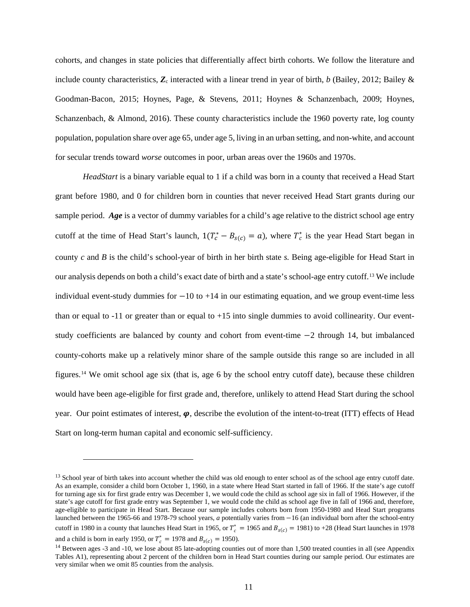cohorts, and changes in state policies that differentially affect birth cohorts. We follow the literature and include county characteristics,  $\mathbf{Z}_c$  interacted with a linear trend in year of birth, *b* (Bailey, 2012; Bailey & Goodman-Bacon, 2015; Hoynes, Page, & Stevens, 2011; Hoynes & Schanzenbach, 2009; Hoynes, Schanzenbach, & Almond, 2016). These county characteristics include the 1960 poverty rate, log county population, population share over age 65, under age 5, living in an urban setting, and non-white, and account for secular trends toward *worse* outcomes in poor, urban areas over the 1960s and 1970s.

*HeadStart* is a binary variable equal to 1 if a child was born in a county that received a Head Start grant before 1980, and 0 for children born in counties that never received Head Start grants during our sample period. *Age* is a vector of dummy variables for a child's age relative to the district school age entry cutoff at the time of Head Start's launch,  $1(T_c^* - B_{s(c)} = a)$ , where  $T_c^*$  is the year Head Start began in county *c* and *B* is the child's school-year of birth in her birth state *s.* Being age-eligible for Head Start in our analysis depends on both a child's exact date of birth and a state's school-age entry cutoff. [13](#page-12-0) We include individual event-study dummies for  $-10$  to  $+14$  in our estimating equation, and we group event-time less than or equal to  $-11$  or greater than or equal to  $+15$  into single dummies to avoid collinearity. Our eventstudy coefficients are balanced by county and cohort from event-time −2 through 14, but imbalanced county-cohorts make up a relatively minor share of the sample outside this range so are included in all figures.[14](#page-12-1) We omit school age six (that is, age 6 by the school entry cutoff date), because these children would have been age-eligible for first grade and, therefore, unlikely to attend Head Start during the school year. Our point estimates of interest,  $\varphi$ , describe the evolution of the intent-to-treat (ITT) effects of Head Start on long-term human capital and economic self-sufficiency.

and a child is born in early 1950, or  $T_c^* = 1978$  and  $B_{s(c)} = 1950$ .

<span id="page-12-0"></span> $13$  School year of birth takes into account whether the child was old enough to enter school as of the school age entry cutoff date. As an example, consider a child born October 1, 1960, in a state where Head Start started in fall of 1966. If the state's age cutoff for turning age six for first grade entry was December 1, we would code the child as school age six in fall of 1966. However, if the state's age cutoff for first grade entry was September 1, we would code the child as school age five in fall of 1966 and, therefore, age-eligible to participate in Head Start. Because our sample includes cohorts born from 1950-1980 and Head Start programs launched between the 1965-66 and 1978-79 school years, *a* potentially varies from −16 (an individual born after the school-entry cutoff in 1980 in a county that launches Head Start in 1965, or  $T_c^* = 1965$  and  $B_{s(c)} = 1981$ ) to +28 (Head Start launches in 1978

<span id="page-12-1"></span> $14$  Between ages -3 and -10, we lose about 85 late-adopting counties out of more than 1,500 treated counties in all (see Appendix Tables A1), representing about 2 percent of the children born in Head Start counties during our sample period. Our estimates are very similar when we omit 85 counties from the analysis.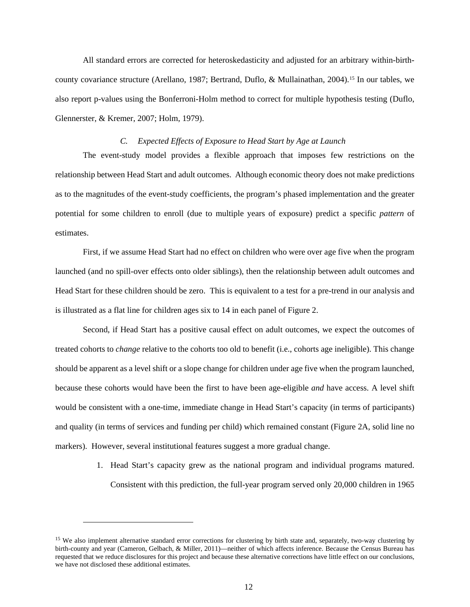All standard errors are corrected for heteroskedasticity and adjusted for an arbitrary within-birthcounty covariance structure (Arellano, 1987; Bertrand, Duflo, & Mullainathan, 2004). [15](#page-13-0) In our tables, we also report p-values using the Bonferroni-Holm method to correct for multiple hypothesis testing (Duflo, Glennerster, & Kremer, 2007; Holm, 1979).

## *C. Expected Effects of Exposure to Head Start by Age at Launch*

The event-study model provides a flexible approach that imposes few restrictions on the relationship between Head Start and adult outcomes. Although economic theory does not make predictions as to the magnitudes of the event-study coefficients, the program's phased implementation and the greater potential for some children to enroll (due to multiple years of exposure) predict a specific *pattern* of estimates.

First, if we assume Head Start had no effect on children who were over age five when the program launched (and no spill-over effects onto older siblings), then the relationship between adult outcomes and Head Start for these children should be zero. This is equivalent to a test for a pre-trend in our analysis and is illustrated as a flat line for children ages six to 14 in each panel of Figure 2.

Second, if Head Start has a positive causal effect on adult outcomes, we expect the outcomes of treated cohorts to *change* relative to the cohorts too old to benefit (i.e., cohorts age ineligible). This change should be apparent as a level shift or a slope change for children under age five when the program launched, because these cohorts would have been the first to have been age-eligible *and* have access. A level shift would be consistent with a one-time, immediate change in Head Start's capacity (in terms of participants) and quality (in terms of services and funding per child) which remained constant (Figure 2A, solid line no markers). However, several institutional features suggest a more gradual change.

> 1. Head Start's capacity grew as the national program and individual programs matured. Consistent with this prediction, the full-year program served only 20,000 children in 1965

<span id="page-13-0"></span><sup>&</sup>lt;sup>15</sup> We also implement alternative standard error corrections for clustering by birth state and, separately, two-way clustering by birth-county and year (Cameron, Gelbach, & Miller, 2011)—neither of which affects inference. Because the Census Bureau has requested that we reduce disclosures for this project and because these alternative corrections have little effect on our conclusions, we have not disclosed these additional estimates.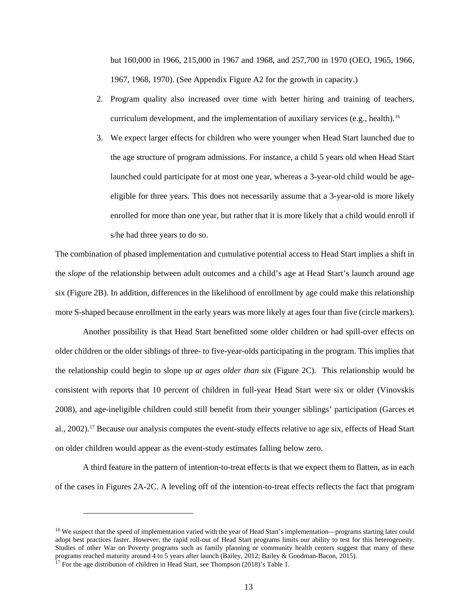but 160,000 in 1966, 215,000 in 1967 and 1968, and 257,700 in 1970 (OEO, 1965, 1966, 1967, 1968, 1970). (See Appendix Figure A2 for the growth in capacity.)

- 2. Program quality also increased over time with better hiring and training of teachers, curriculum development, and the implementation of auxiliary services (e.g., health).<sup>[16](#page-14-0)</sup>
- 3. We expect larger effects for children who were younger when Head Start launched due to the age structure of program admissions. For instance, a child 5 years old when Head Start launched could participate for at most one year, whereas a 3-year-old child would be ageeligible for three years. This does not necessarily assume that a 3-year-old is more likely enrolled for more than one year, but rather that it is more likely that a child would enroll if s/he had three years to do so.

The combination of phased implementation and cumulative potential access to Head Start implies a shift in the *slope* of the relationship between adult outcomes and a child's age at Head Start's launch around age six (Figure 2B). In addition, differences in the likelihood of enrollment by age could make this relationship more S-shaped because enrollment in the early years was more likely at ages four than five (circle markers).

Another possibility is that Head Start benefitted some older children or had spill-over effects on older children or the older siblings of three- to five-year-olds participating in the program. This implies that the relationship could begin to slope up *at ages older than six* (Figure 2C). This relationship would be consistent with reports that 10 percent of children in full-year Head Start were six or older (Vinovskis 2008), and age-ineligible children could still benefit from their younger siblings' participation (Garces et al., 2002). [17](#page-14-1) Because our analysis computes the event-study effects relative to age six, effects of Head Start on older children would appear as the event-study estimates falling below zero.

A third feature in the pattern of intention-to-treat effects is that we expect them to flatten, as in each of the cases in Figures 2A-2C. A leveling off of the intention-to-treat effects reflects the fact that program

<span id="page-14-0"></span><sup>&</sup>lt;sup>16</sup> We suspect that the speed of implementation varied with the year of Head Start's implementation—programs starting later could adopt best practices faster. However, the rapid roll-out of Head Start programs limits our ability to test for this heterogeneity. Studies of other War on Poverty programs such as family planning or community health centers suggest that many of these programs reached maturity around 4 to 5 years after launch (Bailey, 2012; Bailey & Goodman-Bacon, 2015). 17 For the age distribution of children in Head Start, see Thompson (2018)'s Table 1.

<span id="page-14-1"></span>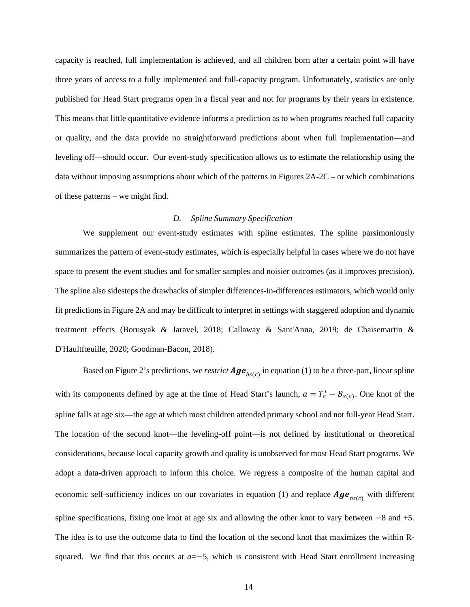capacity is reached, full implementation is achieved, and all children born after a certain point will have three years of access to a fully implemented and full-capacity program. Unfortunately, statistics are only published for Head Start programs open in a fiscal year and not for programs by their years in existence. This means that little quantitative evidence informs a prediction as to when programs reached full capacity or quality, and the data provide no straightforward predictions about when full implementation—and leveling off—should occur. Our event-study specification allows us to estimate the relationship using the data without imposing assumptions about which of the patterns in Figures 2A-2C – or which combinations of these patterns – we might find.

#### *D. Spline Summary Specification*

We supplement our event-study estimates with spline estimates. The spline parsimoniously summarizes the pattern of event-study estimates, which is especially helpful in cases where we do not have space to present the event studies and for smaller samples and noisier outcomes (as it improves precision). The spline also sidesteps the drawbacks of simpler differences-in-differences estimators, which would only fit predictions in Figure 2A and may be difficult to interpret in settings with staggered adoption and dynamic treatment effects (Borusyak & Jaravel, 2018; Callaway & Sant'Anna, 2019; de Chaisemartin & D'Haultfœuille, 2020; Goodman-Bacon, 2018).

Based on Figure 2's predictions, we *restrict*  $Age_{bscc}$  in equation (1) to be a three-part, linear spline with its components defined by age at the time of Head Start's launch,  $a = T_c^* - B_{s(c)}$ . One knot of the spline falls at age six—the age at which most children attended primary school and not full-year Head Start. The location of the second knot—the leveling-off point—is not defined by institutional or theoretical considerations, because local capacity growth and quality is unobserved for most Head Start programs. We adopt a data-driven approach to inform this choice. We regress a composite of the human capital and economic self-sufficiency indices on our covariates in equation (1) and replace  $Age_{bs(c)}$  with different spline specifications, fixing one knot at age six and allowing the other knot to vary between −8 and +5*.*  The idea is to use the outcome data to find the location of the second knot that maximizes the within Rsquared. We find that this occurs at *a*=−5, which is consistent with Head Start enrollment increasing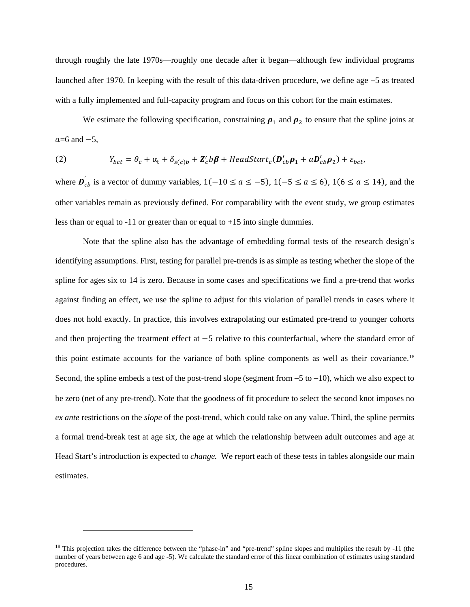through roughly the late 1970s—roughly one decade after it began—although few individual programs launched after 1970. In keeping with the result of this data-driven procedure, we define age −5 as treated with a fully implemented and full-capacity program and focus on this cohort for the main estimates.

We estimate the following specification, constraining  $\rho_1$  and  $\rho_2$  to ensure that the spline joins at  $a=6$  and  $-5$ ,

(2) 
$$
Y_{bct} = \theta_c + \alpha_t + \delta_{s(c)b} + Z_c'b\beta + HeadStart_c(\boldsymbol{D}_{cb}^{\prime}\boldsymbol{\rho}_1 + a\boldsymbol{D}_{cb}^{\prime}\boldsymbol{\rho}_2) + \varepsilon_{bct},
$$

where  $\mathbf{D}_{cb}$  is a vector of dummy variables,  $1(-10 \le a \le -5)$ ,  $1(-5 \le a \le 6)$ ,  $1(6 \le a \le 14)$ , and the other variables remain as previously defined. For comparability with the event study, we group estimates less than or equal to -11 or greater than or equal to +15 into single dummies.

Note that the spline also has the advantage of embedding formal tests of the research design's identifying assumptions. First, testing for parallel pre-trends is as simple as testing whether the slope of the spline for ages six to 14 is zero. Because in some cases and specifications we find a pre-trend that works against finding an effect, we use the spline to adjust for this violation of parallel trends in cases where it does not hold exactly. In practice, this involves extrapolating our estimated pre-trend to younger cohorts and then projecting the treatment effect at −5 relative to this counterfactual, where the standard error of this point estimate accounts for the variance of both spline components as well as their covariance. [18](#page-16-0) Second, the spline embeds a test of the post-trend slope (segment from −5 to −10), which we also expect to be zero (net of any pre-trend). Note that the goodness of fit procedure to select the second knot imposes no *ex ante* restrictions on the *slope* of the post-trend, which could take on any value. Third, the spline permits a formal trend-break test at age six, the age at which the relationship between adult outcomes and age at Head Start's introduction is expected to *change.* We report each of these tests in tables alongside our main estimates.

<span id="page-16-0"></span><sup>&</sup>lt;sup>18</sup> This projection takes the difference between the "phase-in" and "pre-trend" spline slopes and multiplies the result by -11 (the number of years between age 6 and age -5). We calculate the standard error of this linear combination of estimates using standard procedures.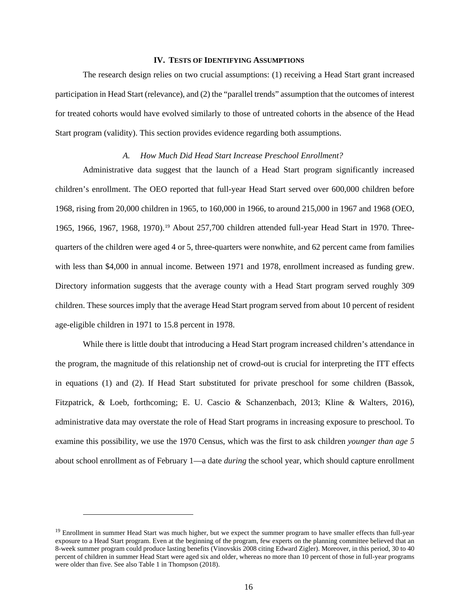#### **IV. TESTS OF IDENTIFYING ASSUMPTIONS**

The research design relies on two crucial assumptions: (1) receiving a Head Start grant increased participation in Head Start (relevance), and (2) the "parallel trends" assumption that the outcomes of interest for treated cohorts would have evolved similarly to those of untreated cohorts in the absence of the Head Start program (validity). This section provides evidence regarding both assumptions.

#### *A. How Much Did Head Start Increase Preschool Enrollment?*

Administrative data suggest that the launch of a Head Start program significantly increased children's enrollment. The OEO reported that full-year Head Start served over 600,000 children before 1968, rising from 20,000 children in 1965, to 160,000 in 1966, to around 215,000 in 1967 and 1968 (OEO, [19](#page-17-0)65, 1966, 1967, 1968, 1970).<sup>19</sup> About 257,700 children attended full-year Head Start in 1970. Threequarters of the children were aged 4 or 5, three-quarters were nonwhite, and 62 percent came from families with less than \$4,000 in annual income. Between 1971 and 1978, enrollment increased as funding grew. Directory information suggests that the average county with a Head Start program served roughly 309 children. These sources imply that the average Head Start program served from about 10 percent of resident age-eligible children in 1971 to 15.8 percent in 1978.

While there is little doubt that introducing a Head Start program increased children's attendance in the program, the magnitude of this relationship net of crowd-out is crucial for interpreting the ITT effects in equations (1) and (2). If Head Start substituted for private preschool for some children (Bassok, Fitzpatrick, & Loeb, forthcoming; E. U. Cascio & Schanzenbach, 2013; Kline & Walters, 2016), administrative data may overstate the role of Head Start programs in increasing exposure to preschool. To examine this possibility, we use the 1970 Census, which was the first to ask children *younger than age 5* about school enrollment as of February 1—a date *during* the school year, which should capture enrollment

<span id="page-17-0"></span><sup>&</sup>lt;sup>19</sup> Enrollment in summer Head Start was much higher, but we expect the summer program to have smaller effects than full-year exposure to a Head Start program. Even at the beginning of the program, few experts on the planning committee believed that an 8-week summer program could produce lasting benefits (Vinovskis 2008 citing Edward Zigler). Moreover, in this period, 30 to 40 percent of children in summer Head Start were aged six and older, whereas no more than 10 percent of those in full-year programs were older than five. See also Table 1 in Thompson (2018).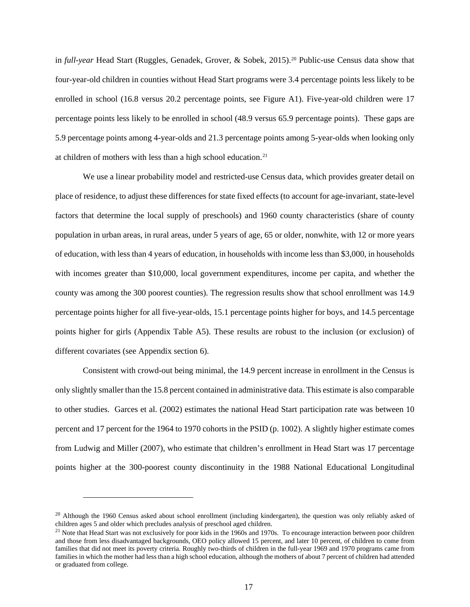in *full-year* Head Start (Ruggles, Genadek, Grover, & Sobek, 2015). [20](#page-18-0) Public-use Census data show that four-year-old children in counties without Head Start programs were 3.4 percentage points less likely to be enrolled in school (16.8 versus 20.2 percentage points, see Figure A1). Five-year-old children were 17 percentage points less likely to be enrolled in school (48.9 versus 65.9 percentage points). These gaps are 5.9 percentage points among 4-year-olds and 21.3 percentage points among 5-year-olds when looking only at children of mothers with less than a high school education.[21](#page-18-1)

We use a linear probability model and restricted-use Census data, which provides greater detail on place of residence, to adjust these differences for state fixed effects (to account for age-invariant, state-level factors that determine the local supply of preschools) and 1960 county characteristics (share of county population in urban areas, in rural areas, under 5 years of age, 65 or older, nonwhite, with 12 or more years of education, with less than 4 years of education, in households with income less than \$3,000, in households with incomes greater than \$10,000, local government expenditures, income per capita, and whether the county was among the 300 poorest counties). The regression results show that school enrollment was 14.9 percentage points higher for all five-year-olds, 15.1 percentage points higher for boys, and 14.5 percentage points higher for girls (Appendix Table A5). These results are robust to the inclusion (or exclusion) of different covariates (see Appendix section 6).

Consistent with crowd-out being minimal, the 14.9 percent increase in enrollment in the Census is only slightly smaller than the 15.8 percent contained in administrative data. This estimate is also comparable to other studies. Garces et al. (2002) estimates the national Head Start participation rate was between 10 percent and 17 percent for the 1964 to 1970 cohorts in the PSID (p. 1002). A slightly higher estimate comes from Ludwig and Miller (2007), who estimate that children's enrollment in Head Start was 17 percentage points higher at the 300-poorest county discontinuity in the 1988 National Educational Longitudinal

<span id="page-18-0"></span><sup>&</sup>lt;sup>20</sup> Although the 1960 Census asked about school enrollment (including kindergarten), the question was only reliably asked of children ages 5 and older which precludes analysis of preschool aged children.<br><sup>21</sup> Note that Head Start was not exclusively for poor kids in the 1960s and 1970s. To encourage interaction between poor children

<span id="page-18-1"></span>and those from less disadvantaged backgrounds, OEO policy allowed 15 percent, and later 10 percent, of children to come from families that did not meet its poverty criteria. Roughly two-thirds of children in the full-year 1969 and 1970 programs came from families in which the mother had less than a high school education, although the mothers of about 7 percent of children had attended or graduated from college.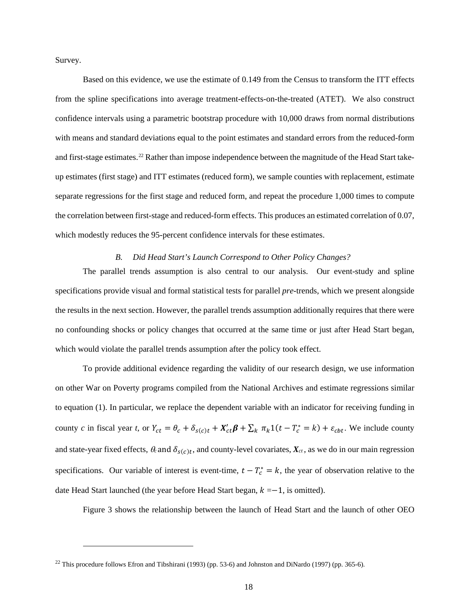Survey.

Based on this evidence, we use the estimate of 0.149 from the Census to transform the ITT effects from the spline specifications into average treatment-effects-on-the-treated (ATET). We also construct confidence intervals using a parametric bootstrap procedure with 10,000 draws from normal distributions with means and standard deviations equal to the point estimates and standard errors from the reduced-form and first-stage estimates. [22](#page-19-0) Rather than impose independence between the magnitude of the Head Start takeup estimates (first stage) and ITT estimates (reduced form), we sample counties with replacement, estimate separate regressions for the first stage and reduced form, and repeat the procedure 1,000 times to compute the correlation between first-stage and reduced-form effects. This produces an estimated correlation of 0.07, which modestly reduces the 95-percent confidence intervals for these estimates.

# *B. Did Head Start's Launch Correspond to Other Policy Changes?*

The parallel trends assumption is also central to our analysis. Our event-study and spline specifications provide visual and formal statistical tests for parallel *pre-*trends, which we present alongside the results in the next section. However, the parallel trends assumption additionally requires that there were no confounding shocks or policy changes that occurred at the same time or just after Head Start began, which would violate the parallel trends assumption after the policy took effect.

To provide additional evidence regarding the validity of our research design, we use information on other War on Poverty programs compiled from the National Archives and estimate regressions similar to equation (1). In particular, we replace the dependent variable with an indicator for receiving funding in county *c* in fiscal year *t*, or  $Y_{ct} = \theta_c + \delta_{s(c)t} + X'_{ct} \beta + \sum_k \pi_k 1(t - T_c^* = k) + \varepsilon_{cbt}$ . We include county and state-year fixed effects,  $\theta_c$  and  $\delta_{s(c)t}$ , and county-level covariates,  $X_{ct}$ , as we do in our main regression specifications. Our variable of interest is event-time,  $t - T_c^* = k$ , the year of observation relative to the date Head Start launched (the year before Head Start began,  $k = -1$ , is omitted).

Figure 3 shows the relationship between the launch of Head Start and the launch of other OEO

<span id="page-19-0"></span><sup>&</sup>lt;sup>22</sup> This procedure follows Efron and Tibshirani (1993) (pp. 53-6) and Johnston and DiNardo (1997) (pp. 365-6).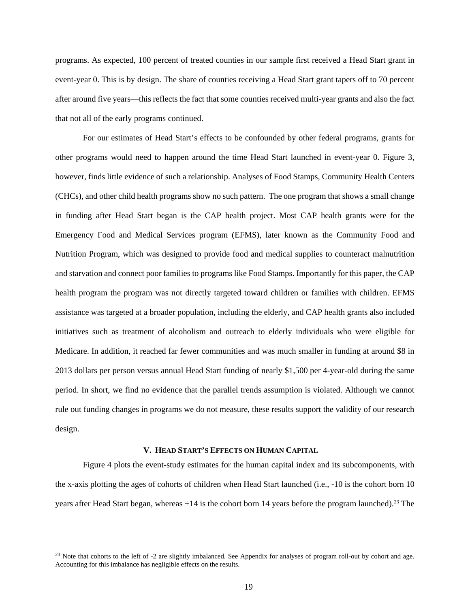programs. As expected, 100 percent of treated counties in our sample first received a Head Start grant in event-year 0. This is by design. The share of counties receiving a Head Start grant tapers off to 70 percent after around five years—this reflects the fact that some counties received multi-year grants and also the fact that not all of the early programs continued.

For our estimates of Head Start's effects to be confounded by other federal programs, grants for other programs would need to happen around the time Head Start launched in event-year 0. Figure 3, however, finds little evidence of such a relationship. Analyses of Food Stamps, Community Health Centers (CHCs), and other child health programs show no such pattern. The one program that shows a small change in funding after Head Start began is the CAP health project. Most CAP health grants were for the Emergency Food and Medical Services program (EFMS), later known as the Community Food and Nutrition Program, which was designed to provide food and medical supplies to counteract malnutrition and starvation and connect poor families to programs like Food Stamps. Importantly for this paper, the CAP health program the program was not directly targeted toward children or families with children. EFMS assistance was targeted at a broader population, including the elderly, and CAP health grants also included initiatives such as treatment of alcoholism and outreach to elderly individuals who were eligible for Medicare. In addition, it reached far fewer communities and was much smaller in funding at around \$8 in 2013 dollars per person versus annual Head Start funding of nearly \$1,500 per 4-year-old during the same period. In short, we find no evidence that the parallel trends assumption is violated. Although we cannot rule out funding changes in programs we do not measure, these results support the validity of our research design.

#### **V. HEAD START'S EFFECTS ON HUMAN CAPITAL**

Figure 4 plots the event-study estimates for the human capital index and its subcomponents, with the x-axis plotting the ages of cohorts of children when Head Start launched (i.e., -10 is the cohort born 10 years after Head Start began, whereas  $+14$  is the cohort born 14 years before the program launched).<sup>[23](#page-20-0)</sup> The

<span id="page-20-0"></span><sup>&</sup>lt;sup>23</sup> Note that cohorts to the left of -2 are slightly imbalanced. See Appendix for analyses of program roll-out by cohort and age. Accounting for this imbalance has negligible effects on the results.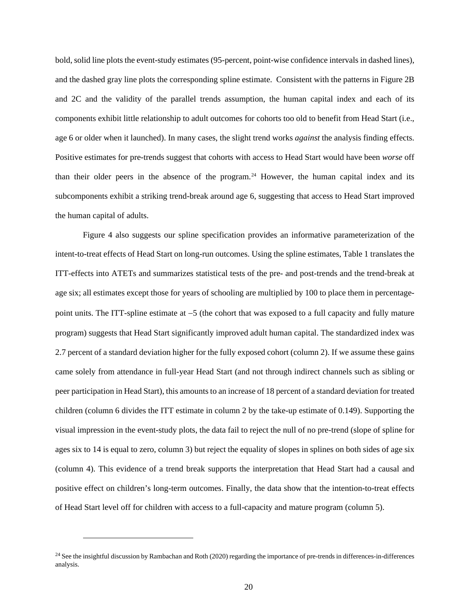bold, solid line plots the event-study estimates (95-percent, point-wise confidence intervals in dashed lines), and the dashed gray line plots the corresponding spline estimate. Consistent with the patterns in Figure 2B and 2C and the validity of the parallel trends assumption, the human capital index and each of its components exhibit little relationship to adult outcomes for cohorts too old to benefit from Head Start (i.e., age 6 or older when it launched). In many cases, the slight trend works *against* the analysis finding effects. Positive estimates for pre-trends suggest that cohorts with access to Head Start would have been *worse* off than their older peers in the absence of the program.<sup>[24](#page-21-0)</sup> However, the human capital index and its subcomponents exhibit a striking trend-break around age 6, suggesting that access to Head Start improved the human capital of adults.

Figure 4 also suggests our spline specification provides an informative parameterization of the intent-to-treat effects of Head Start on long-run outcomes. Using the spline estimates, Table 1 translates the ITT-effects into ATETs and summarizes statistical tests of the pre- and post-trends and the trend-break at age six; all estimates except those for years of schooling are multiplied by 100 to place them in percentagepoint units. The ITT-spline estimate at −5 (the cohort that was exposed to a full capacity and fully mature program) suggests that Head Start significantly improved adult human capital. The standardized index was 2.7 percent of a standard deviation higher for the fully exposed cohort (column 2). If we assume these gains came solely from attendance in full-year Head Start (and not through indirect channels such as sibling or peer participation in Head Start), this amounts to an increase of 18 percent of a standard deviation for treated children (column 6 divides the ITT estimate in column 2 by the take-up estimate of 0.149). Supporting the visual impression in the event-study plots, the data fail to reject the null of no pre-trend (slope of spline for ages six to 14 is equal to zero, column 3) but reject the equality of slopes in splines on both sides of age six (column 4). This evidence of a trend break supports the interpretation that Head Start had a causal and positive effect on children's long-term outcomes. Finally, the data show that the intention-to-treat effects of Head Start level off for children with access to a full-capacity and mature program (column 5).

<span id="page-21-0"></span> $24$  See the insightful discussion by Rambachan and Roth (2020) regarding the importance of pre-trends in differences-in-differences analysis.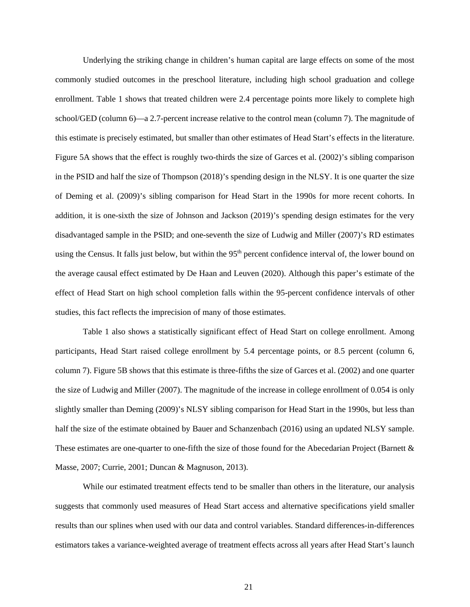Underlying the striking change in children's human capital are large effects on some of the most commonly studied outcomes in the preschool literature, including high school graduation and college enrollment. Table 1 shows that treated children were 2.4 percentage points more likely to complete high school/GED (column 6)—a 2.7-percent increase relative to the control mean (column 7). The magnitude of this estimate is precisely estimated, but smaller than other estimates of Head Start's effects in the literature. Figure 5A shows that the effect is roughly two-thirds the size of Garces et al. (2002)'s sibling comparison in the PSID and half the size of Thompson (2018)'s spending design in the NLSY. It is one quarter the size of Deming et al. (2009)'s sibling comparison for Head Start in the 1990s for more recent cohorts. In addition, it is one-sixth the size of Johnson and Jackson (2019)'s spending design estimates for the very disadvantaged sample in the PSID; and one-seventh the size of Ludwig and Miller (2007)'s RD estimates using the Census. It falls just below, but within the 95<sup>th</sup> percent confidence interval of, the lower bound on the average causal effect estimated by De Haan and Leuven (2020). Although this paper's estimate of the effect of Head Start on high school completion falls within the 95-percent confidence intervals of other studies, this fact reflects the imprecision of many of those estimates.

Table 1 also shows a statistically significant effect of Head Start on college enrollment. Among participants, Head Start raised college enrollment by 5.4 percentage points, or 8.5 percent (column 6, column 7). Figure 5B shows that this estimate is three-fifths the size of Garces et al. (2002) and one quarter the size of Ludwig and Miller (2007). The magnitude of the increase in college enrollment of 0.054 is only slightly smaller than Deming (2009)'s NLSY sibling comparison for Head Start in the 1990s, but less than half the size of the estimate obtained by Bauer and Schanzenbach (2016) using an updated NLSY sample. These estimates are one-quarter to one-fifth the size of those found for the Abecedarian Project (Barnett & Masse, 2007; Currie, 2001; Duncan & Magnuson, 2013).

While our estimated treatment effects tend to be smaller than others in the literature, our analysis suggests that commonly used measures of Head Start access and alternative specifications yield smaller results than our splines when used with our data and control variables. Standard differences-in-differences estimators takes a variance-weighted average of treatment effects across all years after Head Start's launch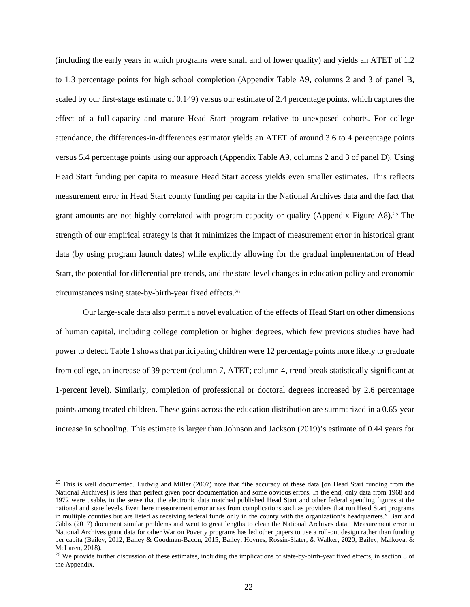(including the early years in which programs were small and of lower quality) and yields an ATET of 1.2 to 1.3 percentage points for high school completion (Appendix Table A9, columns 2 and 3 of panel B, scaled by our first-stage estimate of 0.149) versus our estimate of 2.4 percentage points, which captures the effect of a full-capacity and mature Head Start program relative to unexposed cohorts. For college attendance, the differences-in-differences estimator yields an ATET of around 3.6 to 4 percentage points versus 5.4 percentage points using our approach (Appendix Table A9, columns 2 and 3 of panel D). Using Head Start funding per capita to measure Head Start access yields even smaller estimates. This reflects measurement error in Head Start county funding per capita in the National Archives data and the fact that grant amounts are not highly correlated with program capacity or quality (Appendix Figure A8). [25](#page-23-0) The strength of our empirical strategy is that it minimizes the impact of measurement error in historical grant data (by using program launch dates) while explicitly allowing for the gradual implementation of Head Start, the potential for differential pre-trends, and the state-level changes in education policy and economic circumstances using state-by-birth-year fixed effects.[26](#page-23-1) 

Our large-scale data also permit a novel evaluation of the effects of Head Start on other dimensions of human capital, including college completion or higher degrees, which few previous studies have had power to detect. Table 1 shows that participating children were 12 percentage points more likely to graduate from college, an increase of 39 percent (column 7, ATET; column 4, trend break statistically significant at 1-percent level). Similarly, completion of professional or doctoral degrees increased by 2.6 percentage points among treated children. These gains across the education distribution are summarized in a 0.65-year increase in schooling. This estimate is larger than Johnson and Jackson (2019)'s estimate of 0.44 years for

<span id="page-23-0"></span><sup>&</sup>lt;sup>25</sup> This is well documented. Ludwig and Miller (2007) note that "the accuracy of these data [on Head Start funding from the National Archives] is less than perfect given poor documentation and some obvious errors. In the end, only data from 1968 and 1972 were usable, in the sense that the electronic data matched published Head Start and other federal spending figures at the national and state levels. Even here measurement error arises from complications such as providers that run Head Start programs in multiple counties but are listed as receiving federal funds only in the county with the organization's headquarters." Barr and Gibbs (2017) document similar problems and went to great lengths to clean the National Archives data. Measurement error in National Archives grant data for other War on Poverty programs has led other papers to use a roll-out design rather than funding per capita (Bailey, 2012; Bailey & Goodman-Bacon, 2015; Bailey, Hoynes, Rossin-Slater, & Walker, 2020; Bailey, Malkova, &

<span id="page-23-1"></span> $^{26}$  We provide further discussion of these estimates, including the implications of state-by-birth-year fixed effects, in section 8 of the Appendix.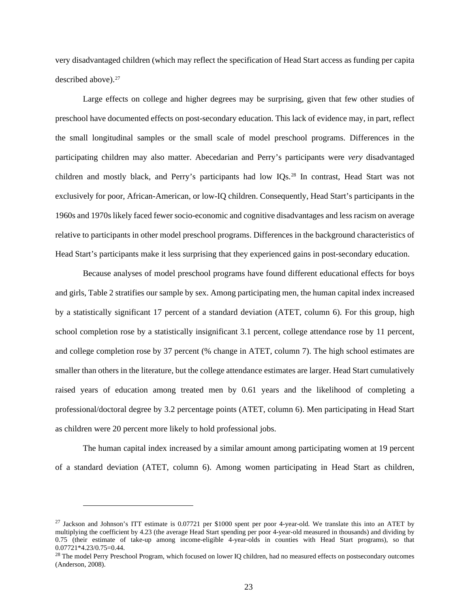very disadvantaged children (which may reflect the specification of Head Start access as funding per capita described above).[27](#page-24-0)

Large effects on college and higher degrees may be surprising, given that few other studies of preschool have documented effects on post-secondary education. This lack of evidence may, in part, reflect the small longitudinal samples or the small scale of model preschool programs. Differences in the participating children may also matter. Abecedarian and Perry's participants were *very* disadvantaged children and mostly black, and Perry's participants had low IQs.[28](#page-24-1) In contrast, Head Start was not exclusively for poor, African-American, or low-IQ children. Consequently, Head Start's participants in the 1960s and 1970s likely faced fewer socio-economic and cognitive disadvantages and less racism on average relative to participants in other model preschool programs. Differences in the background characteristics of Head Start's participants make it less surprising that they experienced gains in post-secondary education.

Because analyses of model preschool programs have found different educational effects for boys and girls, Table 2 stratifies our sample by sex. Among participating men, the human capital index increased by a statistically significant 17 percent of a standard deviation (ATET, column 6). For this group, high school completion rose by a statistically insignificant 3.1 percent, college attendance rose by 11 percent, and college completion rose by 37 percent (% change in ATET, column 7). The high school estimates are smaller than others in the literature, but the college attendance estimates are larger. Head Start cumulatively raised years of education among treated men by 0.61 years and the likelihood of completing a professional/doctoral degree by 3.2 percentage points (ATET, column 6). Men participating in Head Start as children were 20 percent more likely to hold professional jobs.

The human capital index increased by a similar amount among participating women at 19 percent of a standard deviation (ATET, column 6). Among women participating in Head Start as children,

<span id="page-24-0"></span><sup>&</sup>lt;sup>27</sup> Jackson and Johnson's ITT estimate is 0.07721 per \$1000 spent per poor 4-year-old. We translate this into an ATET by multiplying the coefficient by 4.23 (the average Head Start spending per poor 4-year-old measured in thousands) and dividing by 0.75 (their estimate of take-up among income-eligible 4-year-olds in counties with Head Start programs), so that 0.07721\*4.23/0.75=0.44.

<span id="page-24-1"></span><sup>&</sup>lt;sup>28</sup> The model Perry Preschool Program, which focused on lower IQ children, had no measured effects on postsecondary outcomes (Anderson, 2008).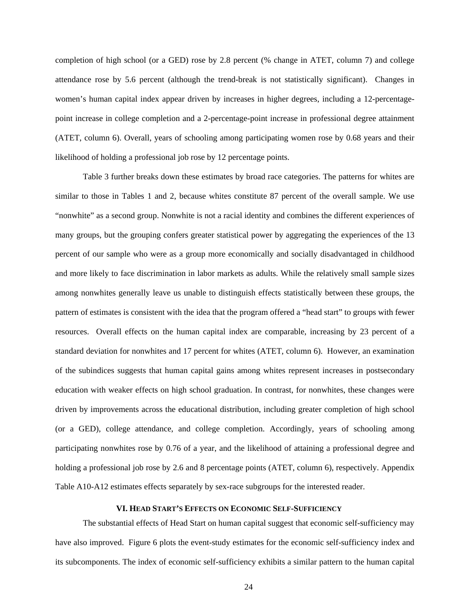completion of high school (or a GED) rose by 2.8 percent (% change in ATET, column 7) and college attendance rose by 5.6 percent (although the trend-break is not statistically significant). Changes in women's human capital index appear driven by increases in higher degrees, including a 12-percentagepoint increase in college completion and a 2-percentage-point increase in professional degree attainment (ATET, column 6). Overall, years of schooling among participating women rose by 0.68 years and their likelihood of holding a professional job rose by 12 percentage points.

Table 3 further breaks down these estimates by broad race categories. The patterns for whites are similar to those in Tables 1 and 2, because whites constitute 87 percent of the overall sample. We use "nonwhite" as a second group. Nonwhite is not a racial identity and combines the different experiences of many groups, but the grouping confers greater statistical power by aggregating the experiences of the 13 percent of our sample who were as a group more economically and socially disadvantaged in childhood and more likely to face discrimination in labor markets as adults. While the relatively small sample sizes among nonwhites generally leave us unable to distinguish effects statistically between these groups, the pattern of estimates is consistent with the idea that the program offered a "head start" to groups with fewer resources. Overall effects on the human capital index are comparable, increasing by 23 percent of a standard deviation for nonwhites and 17 percent for whites (ATET, column 6). However, an examination of the subindices suggests that human capital gains among whites represent increases in postsecondary education with weaker effects on high school graduation. In contrast, for nonwhites, these changes were driven by improvements across the educational distribution, including greater completion of high school (or a GED), college attendance, and college completion. Accordingly, years of schooling among participating nonwhites rose by 0.76 of a year, and the likelihood of attaining a professional degree and holding a professional job rose by 2.6 and 8 percentage points (ATET, column 6), respectively. Appendix Table A10-A12 estimates effects separately by sex-race subgroups for the interested reader.

### **VI. HEAD START'S EFFECTS ON ECONOMIC SELF-SUFFICIENCY**

The substantial effects of Head Start on human capital suggest that economic self-sufficiency may have also improved. Figure 6 plots the event-study estimates for the economic self-sufficiency index and its subcomponents. The index of economic self-sufficiency exhibits a similar pattern to the human capital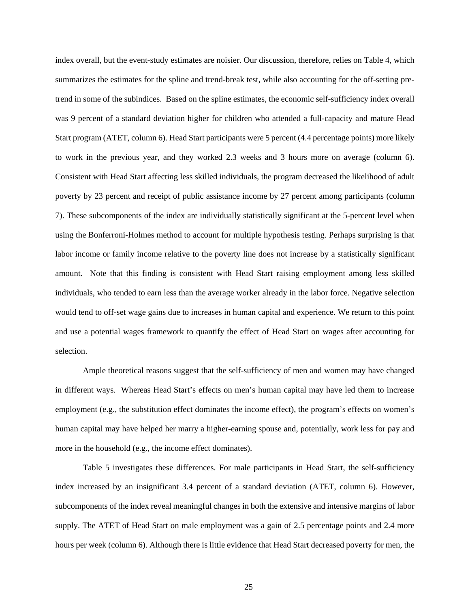index overall, but the event-study estimates are noisier. Our discussion, therefore, relies on Table 4, which summarizes the estimates for the spline and trend-break test, while also accounting for the off-setting pretrend in some of the subindices. Based on the spline estimates, the economic self-sufficiency index overall was 9 percent of a standard deviation higher for children who attended a full-capacity and mature Head Start program (ATET, column 6). Head Start participants were 5 percent (4.4 percentage points) more likely to work in the previous year, and they worked 2.3 weeks and 3 hours more on average (column 6). Consistent with Head Start affecting less skilled individuals, the program decreased the likelihood of adult poverty by 23 percent and receipt of public assistance income by 27 percent among participants (column 7). These subcomponents of the index are individually statistically significant at the 5-percent level when using the Bonferroni-Holmes method to account for multiple hypothesis testing. Perhaps surprising is that labor income or family income relative to the poverty line does not increase by a statistically significant amount. Note that this finding is consistent with Head Start raising employment among less skilled individuals, who tended to earn less than the average worker already in the labor force. Negative selection would tend to off-set wage gains due to increases in human capital and experience. We return to this point and use a potential wages framework to quantify the effect of Head Start on wages after accounting for selection.

Ample theoretical reasons suggest that the self-sufficiency of men and women may have changed in different ways. Whereas Head Start's effects on men's human capital may have led them to increase employment (e.g., the substitution effect dominates the income effect), the program's effects on women's human capital may have helped her marry a higher-earning spouse and, potentially, work less for pay and more in the household (e.g., the income effect dominates).

Table 5 investigates these differences. For male participants in Head Start, the self-sufficiency index increased by an insignificant 3.4 percent of a standard deviation (ATET, column 6). However, subcomponents of the index reveal meaningful changes in both the extensive and intensive margins of labor supply. The ATET of Head Start on male employment was a gain of 2.5 percentage points and 2.4 more hours per week (column 6). Although there is little evidence that Head Start decreased poverty for men, the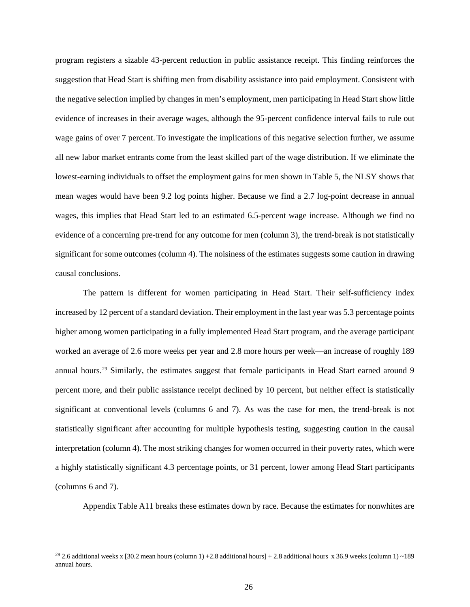program registers a sizable 43-percent reduction in public assistance receipt. This finding reinforces the suggestion that Head Start is shifting men from disability assistance into paid employment. Consistent with the negative selection implied by changes in men's employment, men participating in Head Start show little evidence of increases in their average wages, although the 95-percent confidence interval fails to rule out wage gains of over 7 percent. To investigate the implications of this negative selection further, we assume all new labor market entrants come from the least skilled part of the wage distribution. If we eliminate the lowest-earning individuals to offset the employment gains for men shown in Table 5, the NLSY shows that mean wages would have been 9.2 log points higher. Because we find a 2.7 log-point decrease in annual wages, this implies that Head Start led to an estimated 6.5-percent wage increase. Although we find no evidence of a concerning pre-trend for any outcome for men (column 3), the trend-break is not statistically significant for some outcomes (column 4). The noisiness of the estimates suggests some caution in drawing causal conclusions.

The pattern is different for women participating in Head Start. Their self-sufficiency index increased by 12 percent of a standard deviation. Their employment in the last year was 5.3 percentage points higher among women participating in a fully implemented Head Start program, and the average participant worked an average of 2.6 more weeks per year and 2.8 more hours per week—an increase of roughly 189 annual hours.[29](#page-27-0) Similarly, the estimates suggest that female participants in Head Start earned around 9 percent more, and their public assistance receipt declined by 10 percent, but neither effect is statistically significant at conventional levels (columns 6 and 7). As was the case for men, the trend-break is not statistically significant after accounting for multiple hypothesis testing, suggesting caution in the causal interpretation (column 4). The most striking changes for women occurred in their poverty rates, which were a highly statistically significant 4.3 percentage points, or 31 percent, lower among Head Start participants (columns 6 and 7).

Appendix Table A11 breaks these estimates down by race. Because the estimates for nonwhites are

<span id="page-27-0"></span><sup>&</sup>lt;sup>29</sup> 2.6 additional weeks x [30.2 mean hours (column 1) +2.8 additional hours] + 2.8 additional hours x 36.9 weeks (column 1) ~189 annual hours.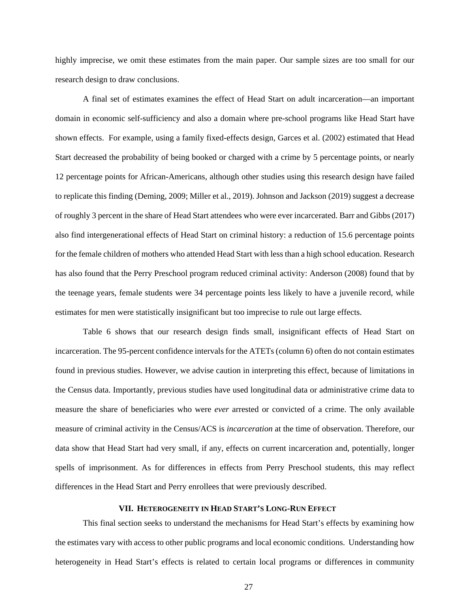highly imprecise, we omit these estimates from the main paper. Our sample sizes are too small for our research design to draw conclusions.

A final set of estimates examines the effect of Head Start on adult incarceration—an important domain in economic self-sufficiency and also a domain where pre-school programs like Head Start have shown effects. For example, using a family fixed-effects design, Garces et al. (2002) estimated that Head Start decreased the probability of being booked or charged with a crime by 5 percentage points, or nearly 12 percentage points for African-Americans, although other studies using this research design have failed to replicate this finding (Deming, 2009; Miller et al., 2019). Johnson and Jackson (2019) suggest a decrease of roughly 3 percent in the share of Head Start attendees who were ever incarcerated. Barr and Gibbs (2017) also find intergenerational effects of Head Start on criminal history: a reduction of 15.6 percentage points for the female children of mothers who attended Head Start with less than a high school education. Research has also found that the Perry Preschool program reduced criminal activity: Anderson (2008) found that by the teenage years, female students were 34 percentage points less likely to have a juvenile record, while estimates for men were statistically insignificant but too imprecise to rule out large effects.

Table 6 shows that our research design finds small, insignificant effects of Head Start on incarceration. The 95-percent confidence intervals for the ATETs (column 6) often do not contain estimates found in previous studies. However, we advise caution in interpreting this effect, because of limitations in the Census data. Importantly, previous studies have used longitudinal data or administrative crime data to measure the share of beneficiaries who were *ever* arrested or convicted of a crime. The only available measure of criminal activity in the Census/ACS is *incarceration* at the time of observation. Therefore, our data show that Head Start had very small, if any, effects on current incarceration and, potentially, longer spells of imprisonment. As for differences in effects from Perry Preschool students, this may reflect differences in the Head Start and Perry enrollees that were previously described.

### **VII. HETEROGENEITY IN HEAD START'S LONG-RUN EFFECT**

This final section seeks to understand the mechanisms for Head Start's effects by examining how the estimates vary with access to other public programs and local economic conditions. Understanding how heterogeneity in Head Start's effects is related to certain local programs or differences in community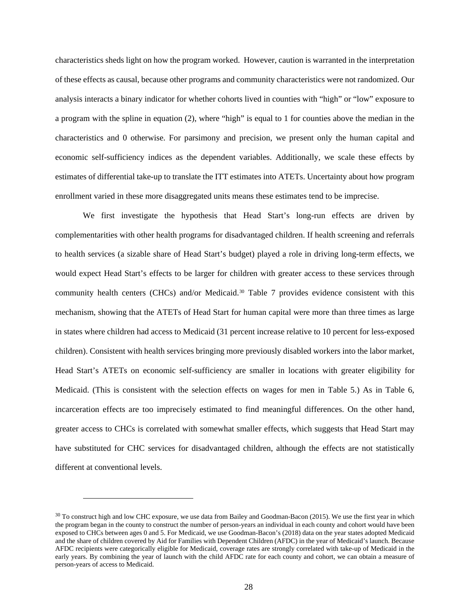characteristics sheds light on how the program worked. However, caution is warranted in the interpretation of these effects as causal, because other programs and community characteristics were not randomized. Our analysis interacts a binary indicator for whether cohorts lived in counties with "high" or "low" exposure to a program with the spline in equation (2), where "high" is equal to 1 for counties above the median in the characteristics and 0 otherwise. For parsimony and precision, we present only the human capital and economic self-sufficiency indices as the dependent variables. Additionally, we scale these effects by estimates of differential take-up to translate the ITT estimates into ATETs. Uncertainty about how program enrollment varied in these more disaggregated units means these estimates tend to be imprecise.

We first investigate the hypothesis that Head Start's long-run effects are driven by complementarities with other health programs for disadvantaged children. If health screening and referrals to health services (a sizable share of Head Start's budget) played a role in driving long-term effects, we would expect Head Start's effects to be larger for children with greater access to these services through community health centers (CHCs) and/or Medicaid.[30](#page-29-0) Table 7 provides evidence consistent with this mechanism, showing that the ATETs of Head Start for human capital were more than three times as large in states where children had access to Medicaid (31 percent increase relative to 10 percent for less-exposed children). Consistent with health services bringing more previously disabled workers into the labor market, Head Start's ATETs on economic self-sufficiency are smaller in locations with greater eligibility for Medicaid. (This is consistent with the selection effects on wages for men in Table 5.) As in Table 6, incarceration effects are too imprecisely estimated to find meaningful differences. On the other hand, greater access to CHCs is correlated with somewhat smaller effects, which suggests that Head Start may have substituted for CHC services for disadvantaged children, although the effects are not statistically different at conventional levels.

<span id="page-29-0"></span> $30$  To construct high and low CHC exposure, we use data from Bailey and Goodman-Bacon (2015). We use the first year in which the program began in the county to construct the number of person-years an individual in each county and cohort would have been exposed to CHCs between ages 0 and 5. For Medicaid, we use Goodman-Bacon's (2018) data on the year states adopted Medicaid and the share of children covered by Aid for Families with Dependent Children (AFDC) in the year of Medicaid's launch. Because AFDC recipients were categorically eligible for Medicaid, coverage rates are strongly correlated with take-up of Medicaid in the early years. By combining the year of launch with the child AFDC rate for each county and cohort, we can obtain a measure of person-years of access to Medicaid.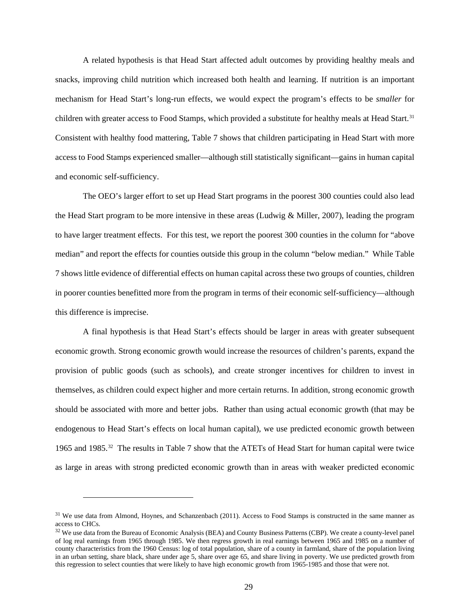A related hypothesis is that Head Start affected adult outcomes by providing healthy meals and snacks, improving child nutrition which increased both health and learning. If nutrition is an important mechanism for Head Start's long-run effects, we would expect the program's effects to be *smaller* for children with greater access to Food Stamps, which provided a substitute for healthy meals at Head Start.<sup>[31](#page-30-0)</sup> Consistent with healthy food mattering, Table 7 shows that children participating in Head Start with more access to Food Stamps experienced smaller—although still statistically significant—gains in human capital and economic self-sufficiency.

The OEO's larger effort to set up Head Start programs in the poorest 300 counties could also lead the Head Start program to be more intensive in these areas (Ludwig & Miller, 2007), leading the program to have larger treatment effects. For this test, we report the poorest 300 counties in the column for "above median" and report the effects for counties outside this group in the column "below median." While Table 7 shows little evidence of differential effects on human capital across these two groups of counties, children in poorer counties benefitted more from the program in terms of their economic self-sufficiency—although this difference is imprecise.

A final hypothesis is that Head Start's effects should be larger in areas with greater subsequent economic growth. Strong economic growth would increase the resources of children's parents, expand the provision of public goods (such as schools), and create stronger incentives for children to invest in themselves, as children could expect higher and more certain returns. In addition, strong economic growth should be associated with more and better jobs. Rather than using actual economic growth (that may be endogenous to Head Start's effects on local human capital), we use predicted economic growth between 1965 and 1985.[32](#page-30-1) The results in Table 7 show that the ATETs of Head Start for human capital were twice as large in areas with strong predicted economic growth than in areas with weaker predicted economic

<span id="page-30-0"></span><sup>&</sup>lt;sup>31</sup> We use data from Almond, Hoynes, and Schanzenbach (2011). Access to Food Stamps is constructed in the same manner as access to CHCs.

<span id="page-30-1"></span><sup>&</sup>lt;sup>32</sup> We use data from the Bureau of Economic Analysis (BEA) and County Business Patterns (CBP). We create a county-level panel of log real earnings from 1965 through 1985. We then regress growth in real earnings between 1965 and 1985 on a number of county characteristics from the 1960 Census: log of total population, share of a county in farmland, share of the population living in an urban setting, share black, share under age 5, share over age 65, and share living in poverty. We use predicted growth from this regression to select counties that were likely to have high economic growth from 1965-1985 and those that were not.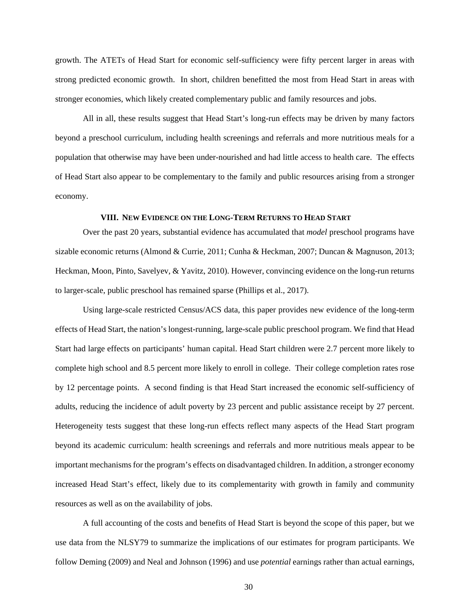growth. The ATETs of Head Start for economic self-sufficiency were fifty percent larger in areas with strong predicted economic growth. In short, children benefitted the most from Head Start in areas with stronger economies, which likely created complementary public and family resources and jobs.

All in all, these results suggest that Head Start's long-run effects may be driven by many factors beyond a preschool curriculum, including health screenings and referrals and more nutritious meals for a population that otherwise may have been under-nourished and had little access to health care. The effects of Head Start also appear to be complementary to the family and public resources arising from a stronger economy.

### **VIII. NEW EVIDENCE ON THE LONG-TERM RETURNS TO HEAD START**

Over the past 20 years, substantial evidence has accumulated that *model* preschool programs have sizable economic returns (Almond & Currie, 2011; Cunha & Heckman, 2007; Duncan & Magnuson, 2013; Heckman, Moon, Pinto, Savelyev, & Yavitz, 2010). However, convincing evidence on the long-run returns to larger-scale, public preschool has remained sparse (Phillips et al., 2017).

Using large-scale restricted Census/ACS data, this paper provides new evidence of the long-term effects of Head Start, the nation's longest-running, large-scale public preschool program. We find that Head Start had large effects on participants' human capital. Head Start children were 2.7 percent more likely to complete high school and 8.5 percent more likely to enroll in college. Their college completion rates rose by 12 percentage points. A second finding is that Head Start increased the economic self-sufficiency of adults, reducing the incidence of adult poverty by 23 percent and public assistance receipt by 27 percent. Heterogeneity tests suggest that these long-run effects reflect many aspects of the Head Start program beyond its academic curriculum: health screenings and referrals and more nutritious meals appear to be important mechanisms for the program's effects on disadvantaged children. In addition, a stronger economy increased Head Start's effect, likely due to its complementarity with growth in family and community resources as well as on the availability of jobs.

A full accounting of the costs and benefits of Head Start is beyond the scope of this paper, but we use data from the NLSY79 to summarize the implications of our estimates for program participants. We follow Deming (2009) and Neal and Johnson (1996) and use *potential* earnings rather than actual earnings,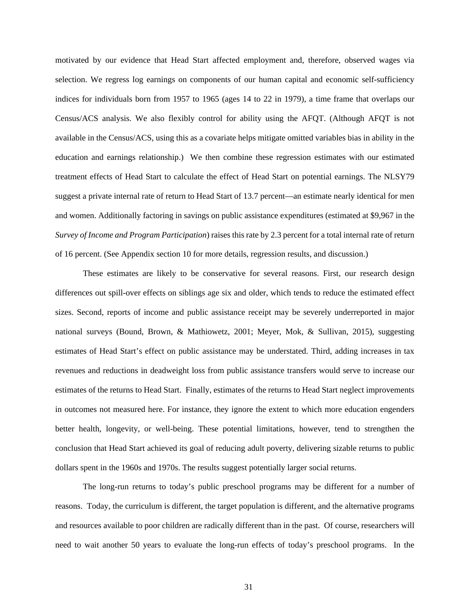motivated by our evidence that Head Start affected employment and, therefore, observed wages via selection. We regress log earnings on components of our human capital and economic self-sufficiency indices for individuals born from 1957 to 1965 (ages 14 to 22 in 1979), a time frame that overlaps our Census/ACS analysis. We also flexibly control for ability using the AFQT. (Although AFQT is not available in the Census/ACS, using this as a covariate helps mitigate omitted variables bias in ability in the education and earnings relationship.) We then combine these regression estimates with our estimated treatment effects of Head Start to calculate the effect of Head Start on potential earnings. The NLSY79 suggest a private internal rate of return to Head Start of 13.7 percent—an estimate nearly identical for men and women. Additionally factoring in savings on public assistance expenditures (estimated at \$9,967 in the *Survey of Income and Program Participation*) raises this rate by 2.3 percent for a total internal rate of return of 16 percent. (See Appendix section 10 for more details, regression results, and discussion.)

These estimates are likely to be conservative for several reasons. First, our research design differences out spill-over effects on siblings age six and older, which tends to reduce the estimated effect sizes. Second, reports of income and public assistance receipt may be severely underreported in major national surveys (Bound, Brown, & Mathiowetz, 2001; Meyer, Mok, & Sullivan, 2015), suggesting estimates of Head Start's effect on public assistance may be understated. Third, adding increases in tax revenues and reductions in deadweight loss from public assistance transfers would serve to increase our estimates of the returns to Head Start. Finally, estimates of the returns to Head Start neglect improvements in outcomes not measured here. For instance, they ignore the extent to which more education engenders better health, longevity, or well-being. These potential limitations, however, tend to strengthen the conclusion that Head Start achieved its goal of reducing adult poverty, delivering sizable returns to public dollars spent in the 1960s and 1970s. The results suggest potentially larger social returns.

The long-run returns to today's public preschool programs may be different for a number of reasons. Today, the curriculum is different, the target population is different, and the alternative programs and resources available to poor children are radically different than in the past. Of course, researchers will need to wait another 50 years to evaluate the long-run effects of today's preschool programs. In the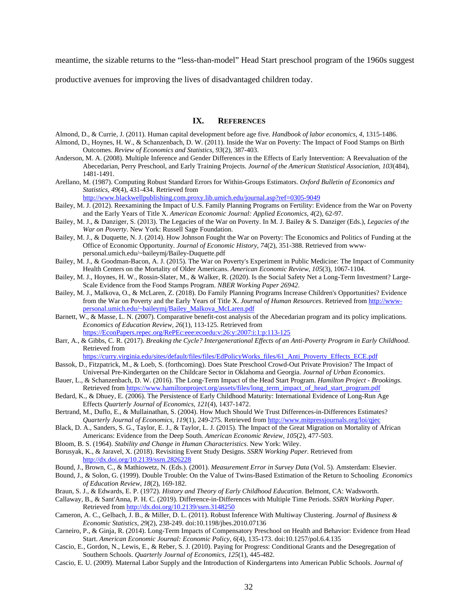meantime, the sizable returns to the "less-than-model" Head Start preschool program of the 1960s suggest

productive avenues for improving the lives of disadvantaged children today.

#### **IX. REFERENCES**

- Almond, D., & Currie, J. (2011). Human capital development before age five. *Handbook of labor economics, 4*, 1315-1486.
- Almond, D., Hoynes, H. W., & Schanzenbach, D. W. (2011). Inside the War on Poverty: The Impact of Food Stamps on Birth Outcomes. *Review of Economics and Statistics, 93*(2), 387-403.
- Anderson, M. A. (2008). Multiple Inference and Gender Differences in the Effects of Early Intervention: A Reevaluation of the Abecedarian, Perry Preschool, and Early Training Projects. *Journal of the American Statistical Association, 103*(484), 1481-1491.
- Arellano, M. (1987). Computing Robust Standard Errors for Within-Groups Estimators. *Oxford Bulletin of Economics and Statistics, 49*(4), 431-434. Retrieved from

<http://www.blackwellpublishing.com.proxy.lib.umich.edu/journal.asp?ref=0305-9049>

- Bailey, M. J. (2012). Reexamining the Impact of U.S. Family Planning Programs on Fertility: Evidence from the War on Poverty and the Early Years of Title X. *American Economic Journal: Applied Economics, 4*(2), 62-97.
- Bailey, M. J., & Danziger, S. (2013). The Legacies of the War on Poverty. In M. J. Bailey & S. Danziger (Eds.), *Legacies of the War on Poverty*. New York: Russell Sage Foundation.
- Bailey, M. J., & Duquette, N. J. (2014). How Johnson Fought the War on Poverty: The Economics and Politics of Funding at the Office of Economic Opportunity. *Journal of Economic History, 74*(2), 351-388. Retrieved from wwwpersonal.umich.edu/~baileymj/Bailey-Duquette.pdf
- Bailey, M. J., & Goodman-Bacon, A. J. (2015). The War on Poverty's Experiment in Public Medicine: The Impact of Community Health Centers on the Mortality of Older Americans. *American Economic Review, 105*(3), 1067-1104.
- Bailey, M. J., Hoynes, H. W., Rossin-Slater, M., & Walker, R. (2020). Is the Social Safety Net a Long-Term Investment? Large-Scale Evidence from the Food Stamps Program. *NBER Working Paper 26942*.
- Bailey, M. J., Malkova, O., & McLaren, Z. (2018). Do Family Planning Programs Increase Children's Opportunities? Evidence from the War on Poverty and the Early Years of Title X. *Journal of Human Resources*. Retrieved fro[m http://www](http://www-personal.umich.edu/%7Ebaileymj/Bailey_Malkova_McLaren.pdf)[personal.umich.edu/~baileymj/Bailey\\_Malkova\\_McLaren.pdf](http://www-personal.umich.edu/%7Ebaileymj/Bailey_Malkova_McLaren.pdf)
- Barnett, W., & Masse, L. N. (2007). Comparative benefit-cost analysis of the Abecedarian program and its policy implications. *Economics of Education Review, 26*(1), 113-125. Retrieved from [https://EconPapers.repec.org/RePEc:eee:ecoedu:v:26:y:2007:i:1:p:113-125](https://econpapers.repec.org/RePEc:eee:ecoedu:v:26:y:2007:i:1:p:113-125)
- Barr, A., & Gibbs, C. R. (2017). *Breaking the Cycle? Intergenerational Effects of an Anti-Poverty Program in Early Childhood*. Retrieved from

[https://curry.virginia.edu/sites/default/files/files/EdPolicyWorks\\_files/61\\_Anti\\_Proverty\\_Effects\\_ECE.pdf](https://curry.virginia.edu/sites/default/files/files/EdPolicyWorks_files/61_Anti_Proverty_Effects_ECE.pdf)

- Bassok, D., Fitzpatrick, M., & Loeb, S. (forthcoming). Does State Preschool Crowd-Out Private Provision? The Impact of Universal Pre-Kindergarten on the Childcare Sector in Oklahoma and Georgia. *Journal of Urban Economics*.
- Bauer, L., & Schanzenbach, D. W. (2016). The Long-Term Impact of the Head Start Program. *Hamilton Project Brookings*. Retrieved from [https://www.hamiltonproject.org/assets/files/long\\_term\\_impact\\_of\\_head\\_start\\_program.pdf](https://www.hamiltonproject.org/assets/files/long_term_impact_of_head_start_program.pdf)
- Bedard, K., & Dhuey, E. (2006). The Persistence of Early Childhood Maturity: International Evidence of Long-Run Age Effects *Quarterly Journal of Economics, 121*(4), 1437-1472.
- Bertrand, M., Duflo, E., & Mullainathan, S. (2004). How Much Should We Trust Differences-in-Differences Estimates? *Quarterly Journal of Economics, 119*(1), 249-275. Retrieved from<http://www.mitpressjournals.org/loi/qjec>
- Black, D. A., Sanders, S. G., Taylor, E. J., & Taylor, L. J. (2015). The Impact of the Great Migration on Mortality of African Americans: Evidence from the Deep South. *American Economic Review, 105*(2), 477-503.
- Bloom, B. S. (1964). *Stability and Change in Human Characteristics*. New York: Wiley.
- Borusyak, K., & Jaravel, X. (2018). Revisiting Event Study Designs. *SSRN Working Paper*. Retrieved from <http://dx.doi.org/10.2139/ssrn.2826228>
- Bound, J., Brown, C., & Mathiowetz, N. (Eds.). (2001). *Measurement Error in Survey Data* (Vol. 5). Amsterdam: Elsevier.
- Bound, J., & Solon, G. (1999). Double Trouble: On the Value of Twins-Based Estimation of the Return to Schooling *Economics of Education Review, 18*(2), 169-182.
- Braun, S. J., & Edwards, E. P. (1972). *History and Theory of Early Childhood Education*. Belmont, CA: Wadsworth.
- Callaway, B., & Sant'Anna, P. H. C. (2019). Difference-in-Differences with Multiple Time Periods. *SSRN Working Paper*. Retrieved from<http://dx.doi.org/10.2139/ssrn.3148250>
- Cameron, A. C., Gelbach, J. B., & Miller, D. L. (2011). Robust Inference With Multiway Clustering. *Journal of Business & Economic Statistics, 29*(2), 238-249. doi:10.1198/jbes.2010.07136
- Carneiro, P., & Ginja, R. (2014). Long-Term Impacts of Compensatory Preschool on Health and Behavior: Evidence from Head Start. *American Economic Journal: Economic Policy, 6*(4), 135-173. doi:10.1257/pol.6.4.135
- Cascio, E., Gordon, N., Lewis, E., & Reber, S. J. (2010). Paying for Progress: Conditional Grants and the Desegregation of Southern Schools. *Quarterly Journal of Economics, 125*(1), 445-482.
- Cascio, E. U. (2009). Maternal Labor Supply and the Introduction of Kindergartens into American Public Schools. *Journal of*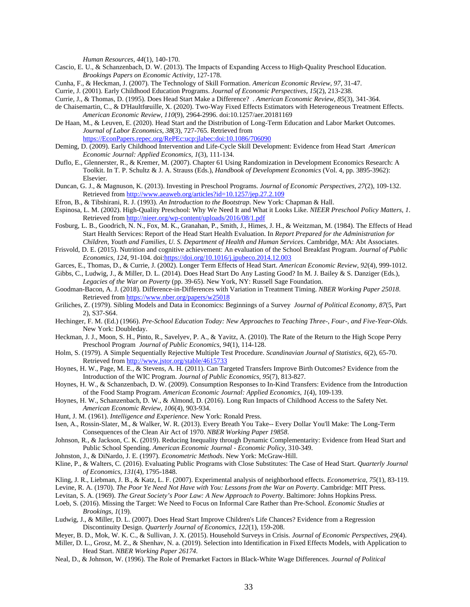*Human Resources, 44*(1), 140-170.

- Cascio, E. U., & Schanzenbach, D. W. (2013). The Impacts of Expanding Access to High-Quality Preschool Education. *Brookings Papers on Economic Activity*, 127-178.
- Cunha, F., & Heckman, J. (2007). The Technology of Skill Formation. *American Economic Review, 97*, 31-47.
- Currie, J. (2001). Early Childhood Education Programs. *Journal of Economic Perspectives, 15*(2), 213-238.
- Currie, J., & Thomas, D. (1995). Does Head Start Make a Difference? . *American Economic Review, 85*(3), 341-364.
- de Chaisemartin, C., & D'Haultfœuille, X. (2020). Two-Way Fixed Effects Estimators with Heterogeneous Treatment Effects. *American Economic Review, 110*(9), 2964-2996. doi:10.1257/aer.20181169
- De Haan, M., & Leuven, E. (2020). Head Start and the Distribution of Long-Term Education and Labor Market Outcomes. *Journal of Labor Economics, 38*(3), 727-765. Retrieved from [https://EconPapers.repec.org/RePEc:ucp:jlabec:doi:10.1086/706090](https://econpapers.repec.org/RePEc:ucp:jlabec:doi:10.1086/706090)
- Deming, D. (2009). Early Childhood Intervention and Life-Cycle Skill Development: Evidence from Head Start *American Economic Journal: Applied Economics, 1*(3), 111-134.
- Duflo, E., Glennerster, R., & Kremer, M. (2007). Chapter 61 Using Randomization in Development Economics Research: A Toolkit. In T. P. Schultz & J. A. Strauss (Eds.), *Handbook of Development Economics* (Vol. 4, pp. 3895-3962): Elsevier.
- Duncan, G. J., & Magnuson, K. (2013). Investing in Preschool Programs. *Journal of Economic Perspectives, 27*(2), 109-132. Retrieved from<http://www.aeaweb.org/articles?id=10.1257/jep.27.2.109>
- Efron, B., & Tibshirani, R. J. (1993). *An Introduction to the Bootstrap*. New York: Chapman & Hall.
- Espinosa, L. M. (2002). High-Quality Preschool: Why We Need It and What it Looks Like. *NIEER Preschool Policy Matters, 1*. Retrieved from<http://nieer.org/wp-content/uploads/2016/08/1.pdf>
- Fosburg, L. B., Goodrich, N. N., Fox, M. K., Granahan, P., Smith, J., Himes, J. H., & Weitzman, M. (1984). The Effects of Head Start Health Services: Report of the Head Start Health Evaluation. In *Report Prepared for the Administration for Children, Youth and Families, U. S. Department of Health and Human Services*. Cambridge, MA: Abt Associates.
- Frisvold, D. E. (2015). Nutrition and cognitive achievement: An evaluation of the School Breakfast Program. *Journal of Public Economics, 124*, 91-104. doi[:https://doi.org/10.1016/j.jpubeco.2014.12.003](https://doi.org/10.1016/j.jpubeco.2014.12.003)
- Garces, E., Thomas, D., & Currie, J. (2002). Longer Term Effects of Head Start. *American Economic Review, 92*(4), 999-1012.
- Gibbs, C., Ludwig, J., & Miller, D. L. (2014). Does Head Start Do Any Lasting Good? In M. J. Bailey & S. Danziger (Eds.), *Legacies of the War on Poverty* (pp. 39-65). New York, NY: Russell Sage Foundation.
- Goodman-Bacon, A. J. (2018). Difference-in-Differences with Variation in Treatment Timing. *NBER Working Paper 25018*. Retrieved from<https://www.nber.org/papers/w25018>
- Griliches, Z. (1979). Sibling Models and Data in Economics: Beginnings of a Survey *Journal of Political Economy, 87*(5, Part 2), S37-S64.
- Hechinger, F. M. (Ed.) (1966). *Pre-School Education Today: New Approaches to Teaching Three-, Four-, and Five-Year-Olds*. New York: Doubleday.
- Heckman, J. J., Moon, S. H., Pinto, R., Savelyev, P. A., & Yavitz, A. (2010). The Rate of the Return to the High Scope Perry Preschool Program *Journal of Public Economics, 94*(1), 114-128.
- Holm, S. (1979). A Simple Sequentially Rejective Multiple Test Procedure. *Scandinavian Journal of Statistics, 6*(2), 65-70. Retrieved from<http://www.jstor.org/stable/4615733>
- Hoynes, H. W., Page, M. E., & Stevens, A. H. (2011). Can Targeted Transfers Improve Birth Outcomes? Evidence from the Introduction of the WIC Program. *Journal of Public Economics, 95*(7), 813-827.
- Hoynes, H. W., & Schanzenbach, D. W. (2009). Consumption Responses to In-Kind Transfers: Evidence from the Introduction of the Food Stamp Program. *American Economic Journal: Applied Economics, 1*(4), 109-139.
- Hoynes, H. W., Schanzenbach, D. W., & Almond, D. (2016). Long Run Impacts of Childhood Access to the Safety Net. *American Economic Review, 106*(4), 903-934.
- Hunt, J. M. (1961). *Intelligence and Experience*. New York: Ronald Press.
- Isen, A., Rossin-Slater, M., & Walker, W. R. (2013). Every Breath You Take-- Every Dollar You'll Make: The Long-Term Consequences of the Clean Air Act of 1970. *NBER Working Paper 19858*.
- Johnson, R., & Jackson, C. K. (2019). Reducing Inequality through Dynamic Complementarity: Evidence from Head Start and Public School Spending. *American Economic Journal - Economic Policy*, 310-349.
- Johnston, J., & DiNardo, J. E. (1997). *Econometric Methods*. New York: McGraw-Hill.
- Kline, P., & Walters, C. (2016). Evaluating Public Programs with Close Substitutes: The Case of Head Start. *Quarterly Journal of Economics, 131*(4), 1795-1848.
- Kling, J. R., Liebman, J. B., & Katz, L. F. (2007). Experimental analysis of neighborhood effects. *Econometrica, 75*(1), 83-119.
- Levine, R. A. (1970). *The Poor Ye Need Not Have with You: Lessons from the War on Poverty*. Cambridge: MIT Press.
- Levitan, S. A. (1969). *The Great Society's Poor Law: A New Approach to Poverty*. Baltimore: Johns Hopkins Press.
- Loeb, S. (2016). Missing the Target: We Need to Focus on Informal Care Rather than Pre-School. *Economic Studies at Brookings, 1*(19).
- Ludwig, J., & Miller, D. L. (2007). Does Head Start Improve Children's Life Chances? Evidence from a Regression Discontinuity Design. *Quarterly Journal of Economics, 122*(1), 159-208.
- Meyer, B. D., Mok, W. K. C., & Sullivan, J. X. (2015). Household Surveys in Crisis. *Journal of Economic Perspectives, 29*(4).
- Miller, D. L., Grosz, M. Z., & Shenhav, N. a. (2019). Selection into Identification in Fixed Effects Models, with Application to Head Start. *NBER Working Paper 26174*.
- Neal, D., & Johnson, W. (1996). The Role of Premarket Factors in Black-White Wage Differences. *Journal of Political*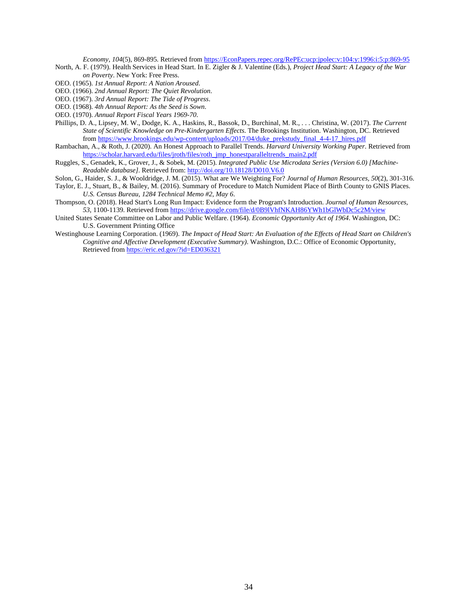*Economy, 104*(5), 869-895. Retrieved from [https://EconPapers.repec.org/RePEc:ucp:jpolec:v:104:y:1996:i:5:p:869-95](https://econpapers.repec.org/RePEc:ucp:jpolec:v:104:y:1996:i:5:p:869-95)

- North, A. F. (1979). Health Services in Head Start. In E. Zigler & J. Valentine (Eds.), *Project Head Start: A Legacy of the War on Poverty*. New York: Free Press.
- OEO. (1965). *1st Annual Report: A Nation Aroused*.
- OEO. (1966). *2nd Annual Report: The Quiet Revolution*.
- OEO. (1967). *3rd Annual Report: The Tide of Progress*.
- OEO. (1968). *4th Annual Report: As the Seed is Sown*.
- OEO. (1970). *Annual Report Fiscal Years 1969-70*.
- Phillips, D. A., Lipsey, M. W., Dodge, K. A., Haskins, R., Bassok, D., Burchinal, M. R., . . . Christina, W. (2017). *The Current State of Scientific Knowledge on Pre-Kindergarten Effects*. The Brookings Institution. Washington, DC. Retrieved fro[m https://www.brookings.edu/wp-content/uploads/2017/04/duke\\_prekstudy\\_final\\_4-4-17\\_hires.pdf](https://www.brookings.edu/wp-content/uploads/2017/04/duke_prekstudy_final_4-4-17_hires.pdf)
- Rambachan, A., & Roth, J. (2020). An Honest Approach to Parallel Trends. *Harvard University Working Paper*. Retrieved from [https://scholar.harvard.edu/files/jroth/files/roth\\_jmp\\_honestparalleltrends\\_main2.pdf](https://scholar.harvard.edu/files/jroth/files/roth_jmp_honestparalleltrends_main2.pdf)
- Ruggles, S., Genadek, K., Grover, J., & Sobek, M. (2015). *Integrated Public Use Microdata Series (Version 6.0) [Machine-Readable database]*. Retrieved from[: http://doi.org/10.18128/D010.V6.0](http://doi.org/10.18128/D010.V6.0)
- Solon, G., Haider, S. J., & Wooldridge, J. M. (2015). What are We Weighting For? *Journal of Human Resources, 50*(2), 301-316.

Taylor, E. J., Stuart, B., & Bailey, M. (2016). Summary of Procedure to Match Numident Place of Birth County to GNIS Places. *U.S. Census Bureau, 1284 Technical Memo #2, May 6*.

- Thompson, O. (2018). Head Start's Long Run Impact: Evidence form the Program's Introduction. *Journal of Human Resources, 53*, 1100-1139. Retrieved from<https://drive.google.com/file/d/0B9lVhfNKAH86YWh1bGlWbDc5c2M/view>
- United States Senate Committee on Labor and Public Welfare. (1964). *Economic Opportunity Act of 1964*. Washington, DC: U.S. Government Printing Office
- Westinghouse Learning Corporation. (1969). *The Impact of Head Start: An Evaluation of the Effects of Head Start on Children's Cognitive and Affective Development (Executive Summary)*. Washington, D.C.: Office of Economic Opportunity, Retrieved from<https://eric.ed.gov/?id=ED036321>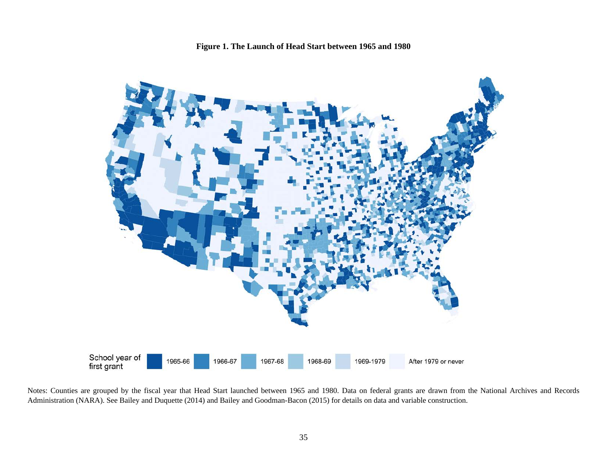



Notes: Counties are grouped by the fiscal year that Head Start launched between 1965 and 1980. Data on federal grants are drawn from the National Archives and Records Administration (NARA). See Bailey and Duquette (2014) and Bailey and Goodman-Bacon (2015) for details on data and variable construction.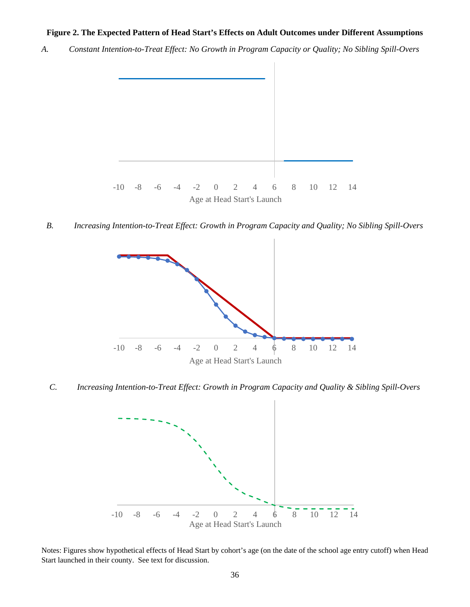# **Figure 2. The Expected Pattern of Head Start's Effects on Adult Outcomes under Different Assumptions**

*A. Constant Intention-to-Treat Effect: No Growth in Program Capacity or Quality; No Sibling Spill-Overs*



*B. Increasing Intention-to-Treat Effect: Growth in Program Capacity and Quality; No Sibling Spill-Overs*



*C. Increasing Intention-to-Treat Effect: Growth in Program Capacity and Quality & Sibling Spill-Overs*



Notes: Figures show hypothetical effects of Head Start by cohort's age (on the date of the school age entry cutoff) when Head Start launched in their county. See text for discussion.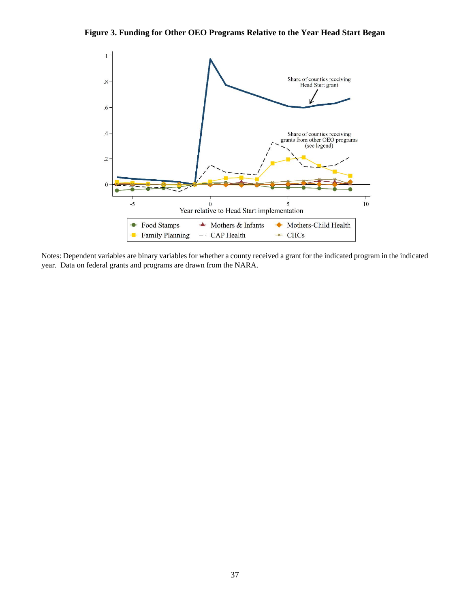# **Figure 3. Funding for Other OEO Programs Relative to the Year Head Start Began**



Notes: Dependent variables are binary variables for whether a county received a grant for the indicated program in the indicated year. Data on federal grants and programs are drawn from the NARA.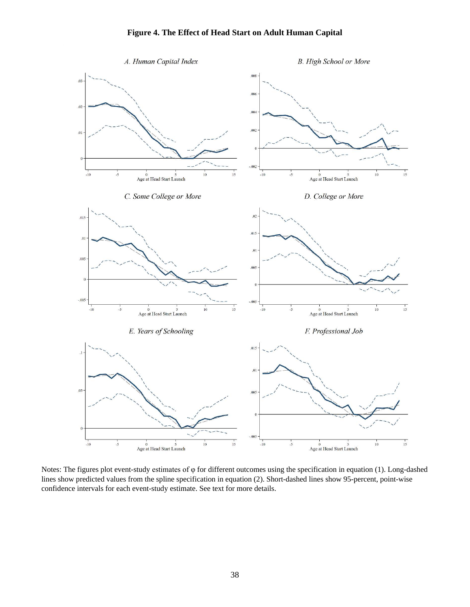# **Figure 4. The Effect of Head Start on Adult Human Capital**



Notes: The figures plot event-study estimates of φ for different outcomes using the specification in equation (1). Long-dashed lines show predicted values from the spline specification in equation (2). Short-dashed lines show 95-percent, point-wise confidence intervals for each event-study estimate. See text for more details.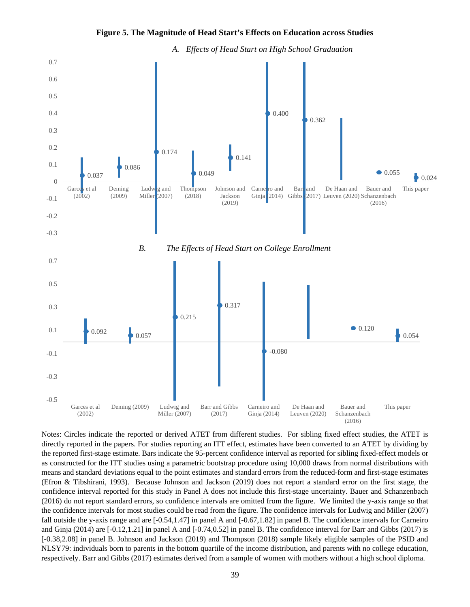



Notes: Circles indicate the reported or derived ATET from different studies. For sibling fixed effect studies, the ATET is directly reported in the papers. For studies reporting an ITT effect, estimates have been converted to an ATET by dividing by the reported first-stage estimate. Bars indicate the 95-percent confidence interval as reported for sibling fixed-effect models or as constructed for the ITT studies using a parametric bootstrap procedure using 10,000 draws from normal distributions with means and standard deviations equal to the point estimates and standard errors from the reduced-form and first-stage estimates (Efron & Tibshirani, 1993). Because Johnson and Jackson (2019) does not report a standard error on the first stage, the confidence interval reported for this study in Panel A does not include this first-stage uncertainty. Bauer and Schanzenbach (2016) do not report standard errors, so confidence intervals are omitted from the figure. We limited the y-axis range so that the confidence intervals for most studies could be read from the figure. The confidence intervals for Ludwig and Miller (2007) fall outside the y-axis range and are  $[-0.54,1.47]$  in panel A and  $[-0.67,1.82]$  in panel B. The confidence intervals for Carneiro and Ginja (2014) are [-0.12,1.21] in panel A and [-0.74,0.52] in panel B. The confidence interval for Barr and Gibbs (2017) is [-0.38,2.08] in panel B. Johnson and Jackson (2019) and Thompson (2018) sample likely eligible samples of the PSID and NLSY79: individuals born to parents in the bottom quartile of the income distribution, and parents with no college education, respectively. Barr and Gibbs (2017) estimates derived from a sample of women with mothers without a high school diploma.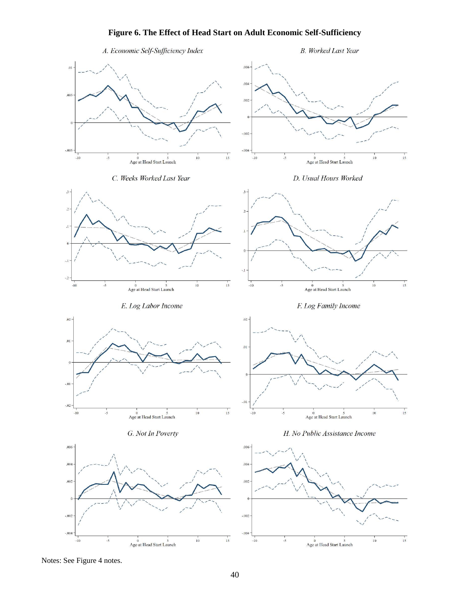# **Figure 6. The Effect of Head Start on Adult Economic Self-Sufficiency**



Notes: See Figure 4 notes.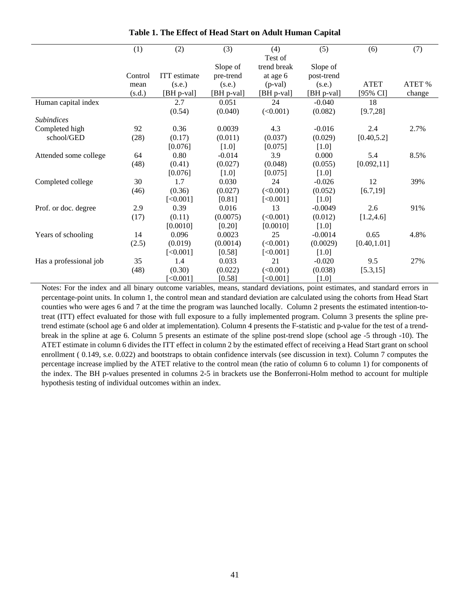|                                 | (1)     | (2)                 | (3)        | (4)            | (5)        | (6)          | (7)    |
|---------------------------------|---------|---------------------|------------|----------------|------------|--------------|--------|
|                                 |         |                     |            | Test of        |            |              |        |
|                                 |         |                     | Slope of   | trend break    | Slope of   |              |        |
|                                 | Control | <b>ITT</b> estimate | pre-trend  | at age 6       | post-trend |              |        |
|                                 | mean    | (s.e.)              | (s.e.)     | $(p$ -val $)$  | (s.e.)     | <b>ATET</b>  | ATET % |
|                                 | (s.d.)  | [BH p-val]          | [BH p-val] | [BH p-val]     | [BH p-val] | [95% CI]     | change |
| Human capital index             |         | 2.7                 | 0.051      | 24             | $-0.040$   | 18           |        |
|                                 |         | (0.54)              | (0.040)    | (<0.001)       | (0.082)    | [9.7, 28]    |        |
| <i><u><b>Subindices</b></u></i> |         |                     |            |                |            |              |        |
| Completed high                  | 92      | 0.36                | 0.0039     | 4.3            | $-0.016$   | 2.4          | 2.7%   |
| school/GED                      | (28)    | (0.17)              | (0.011)    | (0.037)        | (0.029)    | [0.40, 5.2]  |        |
|                                 |         | [0.076]             | $[1.0]$    | [0.075]        | $[1.0]$    |              |        |
| Attended some college           | 64      | 0.80                | $-0.014$   | 3.9            | 0.000      | 5.4          | 8.5%   |
|                                 | (48)    | (0.41)              | (0.027)    | (0.048)        | (0.055)    | [0.092, 11]  |        |
|                                 |         | [0.076]             | $[1.0]$    | [0.075]        | $[1.0]$    |              |        |
| Completed college               | 30      | 1.7                 | 0.030      | 24             | $-0.026$   | 12           | 39%    |
|                                 | (46)    | (0.36)              | (0.027)    | (<0.001)       | (0.052)    | [6.7, 19]    |        |
|                                 |         | [<0.001]            | [0.81]     | [<0.001]       | $[1.0]$    |              |        |
| Prof. or doc. degree            | 2.9     | 0.39                | 0.016      | 13             | $-0.0049$  | 2.6          | 91%    |
|                                 | (17)    | (0.11)              | (0.0075)   | (<0.001)       | (0.012)    | [1.2, 4.6]   |        |
|                                 |         | [0.0010]            | [0.20]     | [0.0010]       | $[1.0]$    |              |        |
| Years of schooling              | 14      | 0.096               | 0.0023     | 25             | $-0.0014$  | 0.65         | 4.8%   |
|                                 | (2.5)   | (0.019)             | (0.0014)   | (<0.001)       | (0.0029)   | [0.40, 1.01] |        |
|                                 |         | [<0.001]            | [0.58]     | [<0.001]       | $[1.0]$    |              |        |
| Has a professional job          | 35      | 1.4                 | 0.033      | 21             | $-0.020$   | 9.5          | 27%    |
|                                 | (48)    | (0.30)              | (0.022)    | (<0.001)       | (0.038)    | [5.3, 15]    |        |
|                                 |         | [<0.001]            | [0.58]     | $\leq 0.001$ ] | $[1.0]$    |              |        |

**Table 1. The Effect of Head Start on Adult Human Capital**

Notes: For the index and all binary outcome variables, means, standard deviations, point estimates, and standard errors in percentage-point units. In column 1, the control mean and standard deviation are calculated using the cohorts from Head Start counties who were ages 6 and 7 at the time the program was launched locally. Column 2 presents the estimated intention-totreat (ITT) effect evaluated for those with full exposure to a fully implemented program. Column 3 presents the spline pretrend estimate (school age 6 and older at implementation). Column 4 presents the F-statistic and p-value for the test of a trendbreak in the spline at age 6. Column 5 presents an estimate of the spline post-trend slope (school age -5 through -10). The ATET estimate in column 6 divides the ITT effect in column 2 by the estimated effect of receiving a Head Start grant on school enrollment ( 0.149, s.e. 0.022) and bootstraps to obtain confidence intervals (see discussion in text). Column 7 computes the percentage increase implied by the ATET relative to the control mean (the ratio of column 6 to column 1) for components of the index. The BH p-values presented in columns 2-5 in brackets use the Bonferroni-Holm method to account for multiple hypothesis testing of individual outcomes within an index.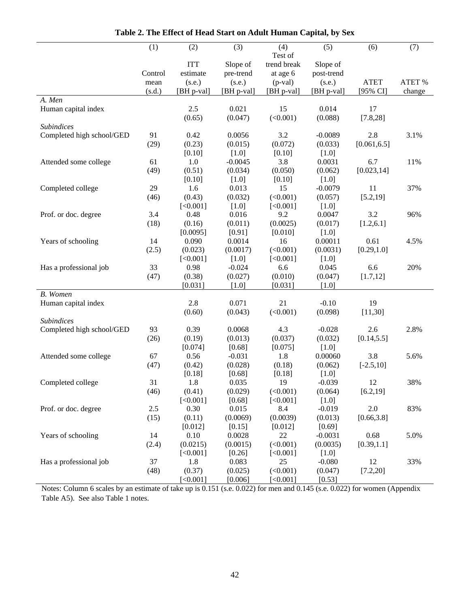|                           | (1)            | (2)                  | (3)                  | (4)                       | (5)                  | (6)                     | (7)              |
|---------------------------|----------------|----------------------|----------------------|---------------------------|----------------------|-------------------------|------------------|
|                           |                |                      |                      | Test of                   |                      |                         |                  |
|                           |                | <b>ITT</b>           | Slope of             | trend break               | Slope of             |                         |                  |
|                           | Control        | estimate             | pre-trend            | at age 6                  | post-trend           |                         |                  |
|                           | mean<br>(s.d.) | (s.e.)<br>[BH p-val] | (s.e.)<br>[BH p-val] | $(p-value)$<br>[BH p-val] | (s.e.)<br>[BH p-val] | <b>ATET</b><br>[95% CI] | ATET %<br>change |
| A. Men                    |                |                      |                      |                           |                      |                         |                  |
| Human capital index       |                | 2.5                  | 0.021                | 15                        | 0.014                | 17                      |                  |
|                           |                | (0.65)               | (0.047)              | (<0.001)                  | (0.088)              | [7.8, 28]               |                  |
| <b>Subindices</b>         |                |                      |                      |                           |                      |                         |                  |
| Completed high school/GED | 91             | 0.42                 | 0.0056               | 3.2                       | $-0.0089$            | 2.8                     | 3.1%             |
|                           | (29)           | (0.23)               | (0.015)              | (0.072)                   | (0.033)              | [0.061, 6.5]            |                  |
|                           |                | [0.10]               | $[1.0]$              | [0.10]                    | $[1.0]$              |                         |                  |
| Attended some college     | 61             | 1.0                  | $-0.0045$            | 3.8                       | 0.0031               | 6.7                     | 11%              |
|                           | (49)           | (0.51)               | (0.034)              | (0.050)                   | (0.062)              | [0.023, 14]             |                  |
|                           |                | [0.10]               | $[1.0]$              | [0.10]                    | $[1.0]$              |                         |                  |
| Completed college         | 29             | 1.6                  | 0.013                | 15                        | $-0.0079$            | 11                      | 37%              |
|                           | (46)           | (0.43)               | (0.032)              | (<0.001)                  | (0.057)              | [5.2, 19]               |                  |
|                           |                | [<0.001]             | $[1.0]$              | [<0.001]                  | $[1.0]$              |                         |                  |
| Prof. or doc. degree      | 3.4            | 0.48                 | 0.016                | 9.2                       | 0.0047               | 3.2                     | 96%              |
|                           | (18)           | (0.16)               | (0.011)              | (0.0025)                  | (0.017)              | [1.2, 6.1]              |                  |
|                           |                | [0.0095]             | [0.91]               | [0.010]                   | $[1.0]$              |                         |                  |
| Years of schooling        | 14             | 0.090                | 0.0014               | 16                        | 0.00011              | 0.61                    | 4.5%             |
|                           | (2.5)          | (0.023)              | (0.0017)             | (<0.001)                  | (0.0031)             | [0.29, 1.0]             |                  |
|                           |                | [<0.001]             | $[1.0]$              | [<0.001]                  | $[1.0]$              |                         |                  |
| Has a professional job    | 33             | 0.98                 | $-0.024$             | 6.6                       | 0.045                | 6.6                     | 20%              |
|                           | (47)           | (0.38)               | (0.027)              | (0.010)                   | (0.047)              | [1.7, 12]               |                  |
|                           |                | [0.031]              | $[1.0]$              | [0.031]                   | $[1.0]$              |                         |                  |
| B. Women                  |                |                      |                      |                           |                      |                         |                  |
| Human capital index       |                | 2.8                  | 0.071                | 21                        | $-0.10$              | 19                      |                  |
|                           |                | (0.60)               | (0.043)              | (<0.001)                  | (0.098)              | [11, 30]                |                  |
| <b>Subindices</b>         |                |                      |                      |                           |                      |                         |                  |
| Completed high school/GED | 93             | 0.39                 | 0.0068               | 4.3                       | $-0.028$             | 2.6                     | 2.8%             |
|                           | (26)           | (0.19)               | (0.013)              | (0.037)                   | (0.032)              | [0.14, 5.5]             |                  |
|                           | 67             | [0.074]              | [0.68]<br>$-0.031$   | [0.075]<br>1.8            | $[1.0]$<br>0.00060   | 3.8                     |                  |
| Attended some college     | (47)           | 0.56<br>(0.42)       | (0.028)              |                           | (0.062)              |                         | 5.6%             |
|                           |                | [0.18]               | [0.68]               | (0.18)<br>[0.18]          | $[1.0]$              | $[-2.5, 10]$            |                  |
| Completed college         | 31             | 1.8                  | 0.035                | 19                        | $-0.039$             | 12                      | 38%              |
|                           | (46)           | (0.41)               | (0.029)              | (<0.001)                  | (0.064)              | [6.2, 19]               |                  |
|                           |                | [<0.001]             | [0.68]               | [<0.001]                  | $[1.0]$              |                         |                  |
| Prof. or doc. degree      | 2.5            | 0.30                 | 0.015                | 8.4                       | $-0.019$             | 2.0                     | 83%              |
|                           | (15)           | (0.11)               | (0.0069)             | (0.0039)                  | (0.013)              | [0.66, 3.8]             |                  |
|                           |                | [0.012]              | [0.15]               | [0.012]                   | [0.69]               |                         |                  |
| Years of schooling        | 14             | 0.10                 | 0.0028               | 22                        | $-0.0031$            | 0.68                    | 5.0%             |
|                           | (2.4)          | (0.0215)             | (0.0015)             | (<0.001)                  | (0.0035)             | [0.39, 1.1]             |                  |
|                           |                | [<0.001]             | [0.26]               | [<0.001]                  | $[1.0]$              |                         |                  |
| Has a professional job    | 37             | 1.8                  | 0.083                | 25                        | $-0.080$             | 12                      | 33%              |
|                           | (48)           | (0.37)               | (0.025)              | (<0.001)                  | (0.047)              | [7.2, 20]               |                  |
|                           |                | [<0.001]             | [0.006]              | [<0.001]                  | [0.53]               |                         |                  |

**Table 2. The Effect of Head Start on Adult Human Capital, by Sex**

Notes: Column 6 scales by an estimate of take up is 0.151 (s.e. 0.022) for men and 0.145 (s.e. 0.022) for women (Appendix Table A5). See also Table 1 notes.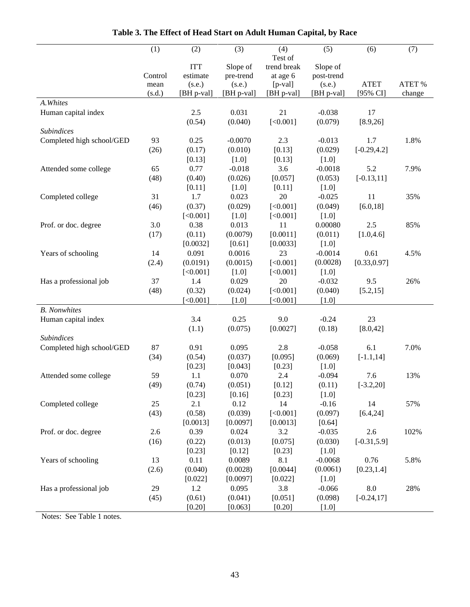|                            | (1)     | (2)        | (3)        | (4)         | (5)        | (6)            | (7)    |
|----------------------------|---------|------------|------------|-------------|------------|----------------|--------|
|                            |         |            |            | Test of     |            |                |        |
|                            |         | <b>ITT</b> | Slope of   | trend break | Slope of   |                |        |
|                            | Control | estimate   | pre-trend  | at age 6    | post-trend |                |        |
|                            | mean    | (s.e.)     | (s.e.)     | $[p-value]$ | (s.e.)     | <b>ATET</b>    | ATET % |
|                            | (s.d.)  | [BH p-val] | [BH p-val] | [BH p-val]  | [BH p-val] | [95% CI]       | change |
| A. Whites                  |         |            |            |             |            |                |        |
| Human capital index        |         | 2.5        | 0.031      | 21          | $-0.038$   | 17             |        |
|                            |         | (0.54)     | (0.040)    | [<0.001]    | (0.079)    | [8.9, 26]      |        |
| <b>Subindices</b>          |         |            |            |             |            |                |        |
| Completed high school/GED  | 93      | 0.25       | $-0.0070$  | 2.3         | $-0.013$   | 1.7            | 1.8%   |
|                            | (26)    | (0.17)     | (0.010)    | [0.13]      | (0.029)    | $[-0.29, 4.2]$ |        |
|                            |         | [0.13]     | $[1.0]$    | [0.13]      | $[1.0]$    |                |        |
| Attended some college      | 65      | 0.77       | $-0.018$   | 3.6         | $-0.0018$  | 5.2            | 7.9%   |
|                            | (48)    | (0.40)     | (0.026)    | [0.057]     | (0.053)    | $[-0.13, 11]$  |        |
|                            |         | [0.11]     | $[1.0]$    | [0.11]      | $[1.0]$    |                |        |
| Completed college          | 31      | 1.7        | 0.023      | 20          | $-0.025$   | 11             | 35%    |
|                            | (46)    | (0.37)     | (0.029)    | [<0.001]    | (0.049)    | [6.0, 18]      |        |
|                            |         | [<0.001]   | $[1.0]$    | [<0.001]    | $[1.0]$    |                |        |
| Prof. or doc. degree       | 3.0     | 0.38       | 0.013      | 11          | 0.00080    | 2.5            | 85%    |
|                            | (17)    | (0.11)     | (0.0079)   | [0.0011]    | (0.011)    | [1.0, 4.6]     |        |
|                            |         | [0.0032]   | [0.61]     | [0.0033]    | $[1.0]$    |                |        |
| Years of schooling         | 14      | 0.091      | 0.0016     | 23          | $-0.0014$  | 0.61           | 4.5%   |
|                            | (2.4)   | (0.0191)   | (0.0015)   | [<0.001]    | (0.0028)   | [0.33, 0.97]   |        |
|                            |         | [<0.001]   | $[1.0]$    | [<0.001]    | $[1.0]$    |                |        |
| Has a professional job     | 37      | 1.4        | 0.029      | 20          | $-0.032$   | 9.5            | 26%    |
|                            | (48)    | (0.32)     | (0.024)    | [<0.001]    | (0.040)    | [5.2, 15]      |        |
|                            |         | [<0.001]   | $[1.0]$    | [<0.001]    | $[1.0]$    |                |        |
| <b>B.</b> Nonwhites        |         |            |            |             |            |                |        |
| Human capital index        |         | 3.4        | 0.25       | 9.0         | $-0.24$    | 23             |        |
|                            |         | (1.1)      | (0.075)    | [0.0027]    | (0.18)     | [8.0, 42]      |        |
| <b>Subindices</b>          |         |            |            |             |            |                |        |
| Completed high school/GED  | 87      | 0.91       | 0.095      | 2.8         | $-0.058$   | 6.1            | 7.0%   |
|                            | (34)    | (0.54)     | (0.037)    | [0.095]     | (0.069)    | $[-1.1, 14]$   |        |
|                            |         | [0.23]     | [0.043]    | [0.23]      | $[1.0]$    |                |        |
| Attended some college      | 59      | 1.1        | 0.070      | 2.4         | $-0.094$   | 7.6            | 13%    |
|                            | (49)    | (0.74)     | (0.051)    | [0.12]      | (0.11)     | $[-3.2, 20]$   |        |
|                            |         | [0.23]     | [0.16]     | [0.23]      | $[1.0]$    |                |        |
| Completed college          | 25      | 2.1        | 0.12       | 14          | $-0.16$    | 14             | 57%    |
|                            | (43)    | (0.58)     | (0.039)    | [<0.001]    | (0.097)    | [6.4, 24]      |        |
|                            |         | [0.0013]   | [0.0097]   | [0.0013]    | [0.64]     |                |        |
| Prof. or doc. degree       | 2.6     | 0.39       | 0.024      | 3.2         | $-0.035$   | 2.6            | 102%   |
|                            | (16)    | (0.22)     | (0.013)    | [0.075]     | (0.030)    | $[-0.31, 5.9]$ |        |
|                            |         | [0.23]     | $[0.12]$   | [0.23]      | $[1.0]$    |                |        |
| Years of schooling         | 13      | 0.11       | 0.0089     | 8.1         | $-0.0068$  | 0.76           | 5.8%   |
|                            | (2.6)   | (0.040)    | (0.0028)   | [0.0044]    | (0.0061)   | [0.23, 1.4]    |        |
|                            |         | [0.022]    | [0.0097]   | [0.022]     | $[1.0]$    |                |        |
| Has a professional job     | 29      | 1.2        | 0.095      | 3.8         | $-0.066$   | 8.0            | 28%    |
|                            | (45)    | (0.61)     | (0.041)    | [0.051]     | (0.098)    | $[-0.24, 17]$  |        |
|                            |         | [0.20]     | [0.063]    | [0.20]      | $[1.0]$    |                |        |
| $S_{\alpha\alpha}$ Table 1 |         |            |            |             |            |                |        |

**Table 3. The Effect of Head Start on Adult Human Capital, by Race**

Notes: See Table 1 notes.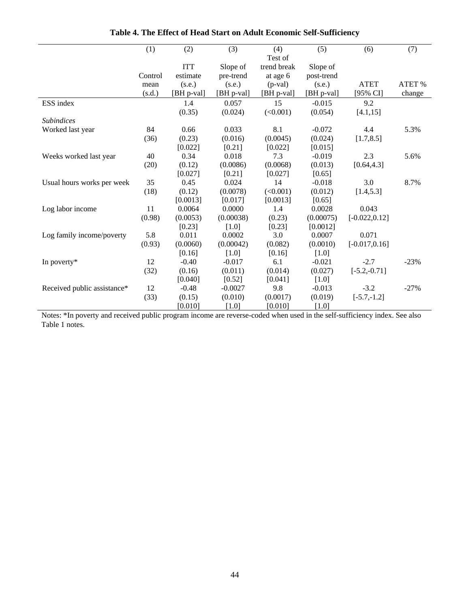|                             | (1)            | (2)        | (3)        | (4)                    | (5)        | (6)              | (7)    |
|-----------------------------|----------------|------------|------------|------------------------|------------|------------------|--------|
|                             |                | <b>ITT</b> | Slope of   | Test of<br>trend break | Slope of   |                  |        |
|                             | Control        | estimate   | pre-trend  | at age 6               | post-trend |                  |        |
|                             |                | (s.e.)     | (s.e.)     | $(p-value)$            | (s.e.)     | <b>ATET</b>      | ATET % |
|                             | mean<br>(s.d.) | [BH p-val] | [BH p-val] | [BH p-val]             | [BH p-val] | [95% CI]         | change |
| ESS index                   |                | 1.4        | 0.057      | 15                     | $-0.015$   | 9.2              |        |
|                             |                | (0.35)     | (0.024)    | (<0.001)               | (0.054)    |                  |        |
| <b>Subindices</b>           |                |            |            |                        |            | [4.1, 15]        |        |
| Worked last year            | 84             | 0.66       | 0.033      | 8.1                    | $-0.072$   | 4.4              | 5.3%   |
|                             | (36)           | (0.23)     | (0.016)    | (0.0045)               | (0.024)    | [1.7, 8.5]       |        |
|                             |                | [0.022]    | [0.21]     | [0.022]                | [0.015]    |                  |        |
| Weeks worked last year      | 40             | 0.34       | 0.018      | 7.3                    | $-0.019$   | 2.3              | 5.6%   |
|                             | (20)           | (0.12)     | (0.0086)   | (0.0068)               | (0.013)    | [0.64, 4.3]      |        |
|                             |                | [0.027]    | [0.21]     | [0.027]                | [0.65]     |                  |        |
| Usual hours works per week  | 35             | 0.45       | 0.024      | 14                     | $-0.018$   | 3.0              | 8.7%   |
|                             | (18)           | (0.12)     | (0.0078)   | (<0.001)               | (0.012)    | [1.4, 5.3]       |        |
|                             |                | [0.0013]   | [0.017]    | [0.0013]               | [0.65]     |                  |        |
| Log labor income            | 11             | 0.0064     | 0.0000     | 1.4                    | 0.0028     | 0.043            |        |
|                             | (0.98)         | (0.0053)   | (0.00038)  | (0.23)                 | (0.00075)  | $[-0.022, 0.12]$ |        |
|                             |                | [0.23]     | $[1.0]$    | [0.23]                 | [0.0012]   |                  |        |
| Log family income/poverty   | 5.8            | 0.011      | 0.0002     | 3.0                    | 0.0007     | 0.071            |        |
|                             | (0.93)         | (0.0060)   | (0.00042)  | (0.082)                | (0.0010)   | $[-0.017, 0.16]$ |        |
|                             |                | [0.16]     | $[1.0]$    | [0.16]                 | $[1.0]$    |                  |        |
| In poverty*                 | 12             | $-0.40$    | $-0.017$   | 6.1                    | $-0.021$   | $-2.7$           | $-23%$ |
|                             | (32)           | (0.16)     | (0.011)    | (0.014)                | (0.027)    | $[-5.2,-0.71]$   |        |
|                             |                | [0.040]    | [0.52]     | [0.041]                | $[1.0]$    |                  |        |
| Received public assistance* | 12             | $-0.48$    | $-0.0027$  | 9.8                    | $-0.013$   | $-3.2$           | $-27%$ |
|                             | (33)           | (0.15)     | (0.010)    | (0.0017)               | (0.019)    | $[-5.7,-1.2]$    |        |
|                             |                | [0.010]    | $[1.0]$    | [0.010]                | $[1.0]$    |                  |        |

**Table 4. The Effect of Head Start on Adult Economic Self-Sufficiency**

Notes: \*In poverty and received public program income are reverse-coded when used in the self-sufficiency index. See also Table 1 notes.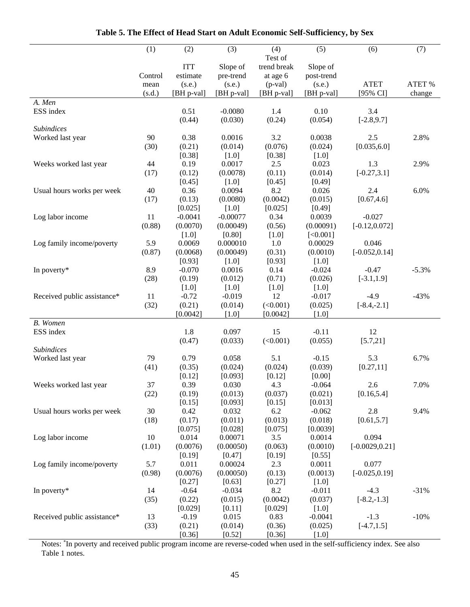|                             | (1)     | (2)        | (3)        | (4)         | (5)        | (6)               | (7)     |
|-----------------------------|---------|------------|------------|-------------|------------|-------------------|---------|
|                             |         |            |            | Test of     |            |                   |         |
|                             |         | <b>ITT</b> | Slope of   | trend break | Slope of   |                   |         |
|                             | Control | estimate   | pre-trend  | at age 6    | post-trend |                   |         |
|                             | mean    | (s.e.)     | (s.e.)     | $(p-value)$ | (s.e.)     | <b>ATET</b>       | ATET %  |
|                             | (s.d.)  | [BH p-val] | [BH p-val] | [BH p-val]  | [BH p-val] | [95% CI]          | change  |
| A. Men                      |         |            |            |             |            |                   |         |
| ESS index                   |         | 0.51       | $-0.0080$  | 1.4         | 0.10       | 3.4               |         |
|                             |         | (0.44)     | (0.030)    | (0.24)      | (0.054)    | $[-2.8, 9.7]$     |         |
| Subindices                  |         |            |            |             |            |                   |         |
| Worked last year            | 90      | 0.38       | 0.0016     | 3.2         | 0.0038     | 2.5               | 2.8%    |
|                             | (30)    | (0.21)     | (0.014)    | (0.076)     | (0.024)    | [0.035, 6.0]      |         |
|                             |         | [0.38]     | $[1.0]$    | [0.38]      | $[1.0]$    |                   |         |
| Weeks worked last year      | 44      | 0.19       | 0.0017     | 2.5         | 0.023      | 1.3               | 2.9%    |
|                             | (17)    | (0.12)     | (0.0078)   | (0.11)      | (0.014)    | $[-0.27, 3.1]$    |         |
|                             |         | [0.45]     | $[1.0]$    | [0.45]      | [0.49]     |                   |         |
| Usual hours works per week  | 40      | 0.36       | 0.0094     | 8.2         | 0.026      | 2.4               | 6.0%    |
|                             | (17)    | (0.13)     | (0.0080)   | (0.0042)    | (0.015)    | [0.67, 4.6]       |         |
|                             |         | [0.025]    | $[1.0]$    | [0.025]     | [0.49]     |                   |         |
| Log labor income            | 11      | $-0.0041$  | $-0.00077$ | 0.34        | 0.0039     | $-0.027$          |         |
|                             | (0.88)  | (0.0070)   | (0.00049)  | (0.56)      | (0.00091)  | $[-0.12, 0.072]$  |         |
|                             |         | $[1.0]$    | $[0.80]$   | $[1.0]$     | [<0.001]   |                   |         |
| Log family income/poverty   | 5.9     | 0.0069     | 0.000010   | 1.0         | 0.00029    | 0.046             |         |
|                             | (0.87)  | (0.0068)   | (0.00049)  | (0.31)      | (0.0010)   | $[-0.052, 0.14]$  |         |
|                             |         | [0.93]     | $[1.0]$    | [0.93]      | $[1.0]$    |                   |         |
| In poverty*                 | 8.9     | $-0.070$   | 0.0016     | 0.14        | $-0.024$   | $-0.47$           | $-5.3%$ |
|                             | (28)    | (0.19)     | (0.012)    | (0.71)      | (0.026)    | $[-3.1, 1.9]$     |         |
|                             |         | $[1.0]$    | $[1.0]$    | $[1.0]$     | $[1.0]$    |                   |         |
| Received public assistance* | 11      | $-0.72$    | $-0.019$   | 12          | $-0.017$   | $-4.9$            | $-43%$  |
|                             | (32)    | (0.21)     | (0.014)    | (<0.001)    | (0.025)    | $[-8.4,-2.1]$     |         |
|                             |         | [0.0042]   | $[1.0]$    | [0.0042]    | $[1.0]$    |                   |         |
| B. Women<br>ESS index       |         | 1.8        | 0.097      | 15          | $-0.11$    | 12                |         |
|                             |         | (0.47)     | (0.033)    | (<0.001)    | (0.055)    | [5.7, 21]         |         |
| <b>Subindices</b>           |         |            |            |             |            |                   |         |
| Worked last year            | 79      | 0.79       | 0.058      | 5.1         | $-0.15$    | 5.3               | 6.7%    |
|                             | (41)    | (0.35)     | (0.024)    | (0.024)     | (0.039)    | [0.27, 11]        |         |
|                             |         | [0.12]     | [0.093]    | [0.12]      | [0.00]     |                   |         |
| Weeks worked last year      | 37      | 0.39       | 0.030      | 4.3         | $-0.064$   | 2.6               | 7.0%    |
|                             | (22)    | (0.19)     | (0.013)    | (0.037)     | (0.021)    | [0.16, 5.4]       |         |
|                             |         | [0.15]     | [0.093]    | [0.15]      | [0.013]    |                   |         |
| Usual hours works per week  | 30      | 0.42       | 0.032      | 6.2         | $-0.062$   | 2.8               | 9.4%    |
|                             | (18)    | (0.17)     | (0.011)    | (0.013)     | (0.018)    | [0.61, 5.7]       |         |
|                             |         | [0.075]    | [0.028]    | [0.075]     | [0.0039]   |                   |         |
| Log labor income            | 10      | 0.014      | 0.00071    | 3.5         | 0.0014     | 0.094             |         |
|                             | (1.01)  | (0.0076)   | (0.00050)  | (0.063)     | (0.0010)   | $[-0.0029, 0.21]$ |         |
|                             |         | [0.19]     | [0.47]     | [0.19]      | [0.55]     |                   |         |
| Log family income/poverty   | 5.7     | 0.011      | 0.00024    | 2.3         | 0.0011     | 0.077             |         |
|                             | (0.98)  | (0.0076)   | (0.00050)  | (0.13)      | (0.0013)   | $[-0.025, 0.19]$  |         |
|                             |         | [0.27]     | [0.63]     | [0.27]      | $[1.0]$    |                   |         |
| In poverty*                 | 14      | $-0.64$    | $-0.034$   | 8.2         | $-0.011$   | $-4.3$            | $-31%$  |
|                             | (35)    | (0.22)     | (0.015)    | (0.0042)    | (0.037)    | $[-8.2,-1.3]$     |         |
|                             |         | [0.029]    | $[0.11]$   | [0.029]     | $[1.0]$    |                   |         |
| Received public assistance* | 13      | $-0.19$    | 0.015      | 0.83        | $-0.0041$  | $-1.3$            | $-10%$  |
|                             | (33)    | (0.21)     | (0.014)    | (0.36)      | (0.025)    | $[-4.7, 1.5]$     |         |
|                             |         | [0.36]     | [0.52]     | [0.36]      | $[1.0]$    |                   |         |

**Table 5. The Effect of Head Start on Adult Economic Self-Sufficiency, by Sex**

 $\overline{a}$ 

Ĭ.

Notes: \* In poverty and received public program income are reverse-coded when used in the self-sufficiency index. See also Table 1 notes.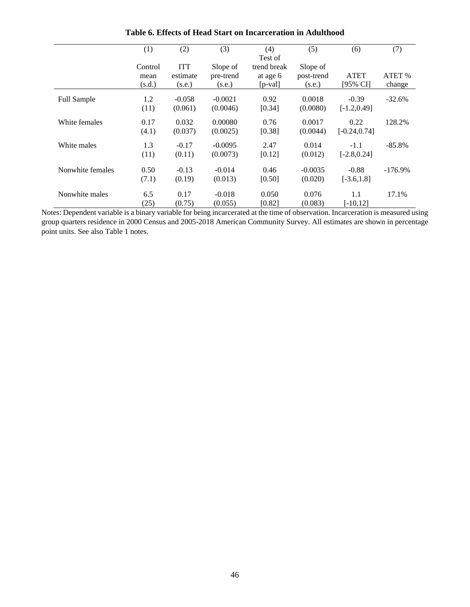|                    | (1)                       | (2)                              | (3)                             | (4)<br>Test of                        | (5)                              | (6)                       | (7)              |
|--------------------|---------------------------|----------------------------------|---------------------------------|---------------------------------------|----------------------------------|---------------------------|------------------|
|                    | Control<br>mean<br>(s.d.) | <b>ITT</b><br>estimate<br>(s.e.) | Slope of<br>pre-trend<br>(s.e.) | trend break<br>at age 6<br>$[p$ -val] | Slope of<br>post-trend<br>(s.e.) | <b>ATET</b><br>[95% CI]   | ATET %<br>change |
| <b>Full Sample</b> | 1.2<br>(11)               | $-0.058$<br>(0.061)              | $-0.0021$<br>(0.0046)           | 0.92<br>[0.34]                        | 0.0018<br>(0.0080)               | $-0.39$<br>$[-1.2, 0.49]$ | $-32.6%$         |
| White females      | 0.17<br>(4.1)             | 0.032<br>(0.037)                 | 0.00080<br>(0.0025)             | 0.76<br>[0.38]                        | 0.0017<br>(0.0044)               | 0.22<br>$[-0.24, 0.74]$   | 128.2%           |
| White males        | 1.3<br>(11)               | $-0.17$<br>(0.11)                | $-0.0095$<br>(0.0073)           | 2.47<br>[0.12]                        | 0.014<br>(0.012)                 | $-1.1$<br>$[-2.8, 0.24]$  | $-85.8%$         |
| Nonwhite females   | 0.50<br>(7.1)             | $-0.13$<br>(0.19)                | $-0.014$<br>(0.013)             | 0.46<br>[0.50]                        | $-0.0035$<br>(0.020)             | $-0.88$<br>$[-3.6, 1.8]$  | $-176.9\%$       |
| Nonwhite males     | 6.5<br>(25)               | 0.17<br>(0.75)                   | $-0.018$<br>(0.055)             | 0.050<br>[0.82]                       | 0.076<br>(0.083)                 | 1.1<br>$[-10, 12]$        | 17.1%            |

**Table 6. Effects of Head Start on Incarceration in Adulthood**

Notes: Dependent variable is a binary variable for being incarcerated at the time of observation. Incarceration is measured using group quarters residence in 2000 Census and 2005-2018 American Community Survey. All estimates are shown in percentage point units. See also Table 1 notes.